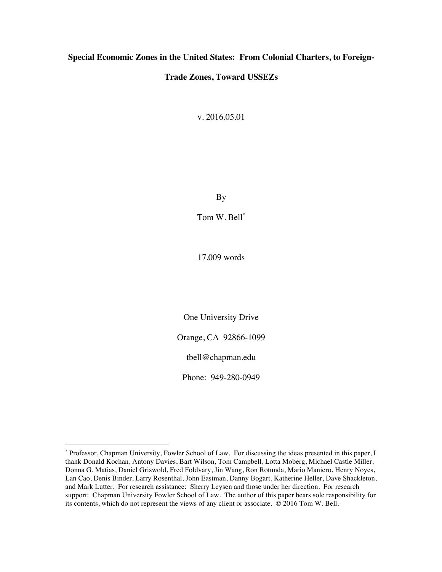# **Special Economic Zones in the United States: From Colonial Charters, to Foreign-**

# **Trade Zones, Toward USSEZs**

v. 2016.05.01

By

Tom W. Bell\*

17,009 words

One University Drive Orange, CA 92866-1099

tbell@chapman.edu

Phone: 949-280-0949

 <sup>\*</sup> Professor, Chapman University, Fowler School of Law. For discussing the ideas presented in this paper, I thank Donald Kochan, Antony Davies, Bart Wilson, Tom Campbell, Lotta Moberg, Michael Castle Miller, Donna G. Matias, Daniel Griswold, Fred Foldvary, Jin Wang, Ron Rotunda, Mario Maniero, Henry Noyes, Lan Cao, Denis Binder, Larry Rosenthal, John Eastman, Danny Bogart, Katherine Heller, Dave Shackleton, and Mark Lutter. For research assistance: Sherry Leysen and those under her direction. For research support: Chapman University Fowler School of Law. The author of this paper bears sole responsibility for its contents, which do not represent the views of any client or associate. © 2016 Tom W. Bell.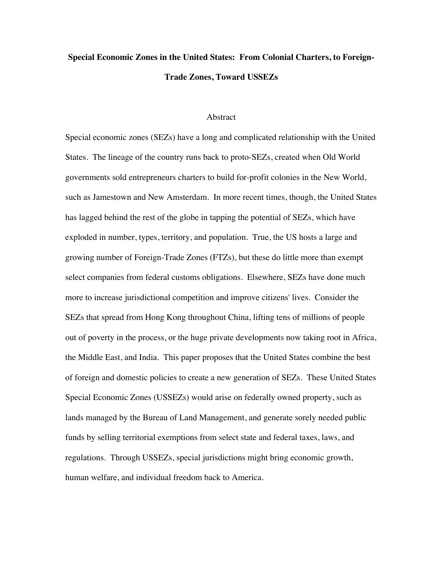# **Special Economic Zones in the United States: From Colonial Charters, to Foreign-Trade Zones, Toward USSEZs**

## Abstract

Special economic zones (SEZs) have a long and complicated relationship with the United States. The lineage of the country runs back to proto-SEZs, created when Old World governments sold entrepreneurs charters to build for-profit colonies in the New World, such as Jamestown and New Amsterdam. In more recent times, though, the United States has lagged behind the rest of the globe in tapping the potential of SEZs, which have exploded in number, types, territory, and population. True, the US hosts a large and growing number of Foreign-Trade Zones (FTZs), but these do little more than exempt select companies from federal customs obligations. Elsewhere, SEZs have done much more to increase jurisdictional competition and improve citizens' lives. Consider the SEZs that spread from Hong Kong throughout China, lifting tens of millions of people out of poverty in the process, or the huge private developments now taking root in Africa, the Middle East, and India. This paper proposes that the United States combine the best of foreign and domestic policies to create a new generation of SEZs. These United States Special Economic Zones (USSEZs) would arise on federally owned property, such as lands managed by the Bureau of Land Management, and generate sorely needed public funds by selling territorial exemptions from select state and federal taxes, laws, and regulations. Through USSEZs, special jurisdictions might bring economic growth, human welfare, and individual freedom back to America.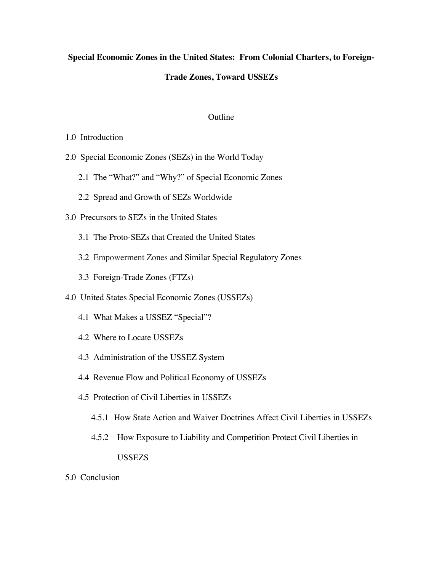# **Special Economic Zones in the United States: From Colonial Charters, to Foreign-**

## **Trade Zones, Toward USSEZs**

#### Outline

- 1.0 Introduction
- 2.0 Special Economic Zones (SEZs) in the World Today
	- 2.1 The "What?" and "Why?" of Special Economic Zones
	- 2.2 Spread and Growth of SEZs Worldwide
- 3.0 Precursors to SEZs in the United States
	- 3.1 The Proto-SEZs that Created the United States
	- 3.2 Empowerment Zones and Similar Special Regulatory Zones
	- 3.3 Foreign-Trade Zones (FTZs)
- 4.0 United States Special Economic Zones (USSEZs)
	- 4.1 What Makes a USSEZ "Special"?
	- 4.2 Where to Locate USSEZs
	- 4.3 Administration of the USSEZ System
	- 4.4 Revenue Flow and Political Economy of USSEZs
	- 4.5 Protection of Civil Liberties in USSEZs
		- 4.5.1 How State Action and Waiver Doctrines Affect Civil Liberties in USSEZs
		- 4.5.2 How Exposure to Liability and Competition Protect Civil Liberties in USSEZS
- 5.0 Conclusion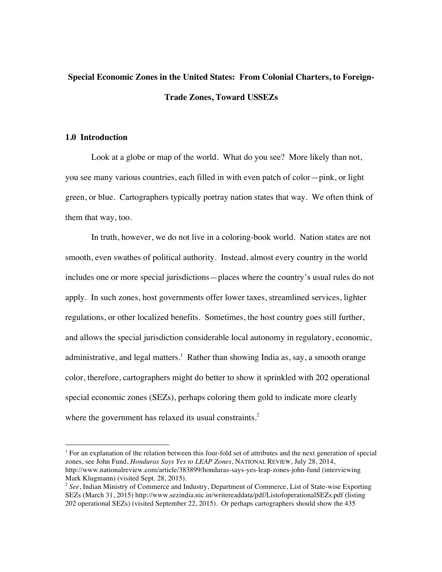# **Special Economic Zones in the United States: From Colonial Charters, to Foreign-Trade Zones, Toward USSEZs**

## **1.0 Introduction**

Look at a globe or map of the world. What do you see? More likely than not, you see many various countries, each filled in with even patch of color—pink, or light green, or blue. Cartographers typically portray nation states that way. We often think of them that way, too.

In truth, however, we do not live in a coloring-book world. Nation states are not smooth, even swathes of political authority. Instead, almost every country in the world includes one or more special jurisdictions—places where the country's usual rules do not apply. In such zones, host governments offer lower taxes, streamlined services, lighter regulations, or other localized benefits. Sometimes, the host country goes still further, and allows the special jurisdiction considerable local autonomy in regulatory, economic, administrative, and legal matters.<sup>1</sup> Rather than showing India as, say, a smooth orange color, therefore, cartographers might do better to show it sprinkled with 202 operational special economic zones (SEZs), perhaps coloring them gold to indicate more clearly where the government has relaxed its usual constraints.<sup>2</sup>

<sup>&</sup>lt;sup>1</sup> For an explanation of the relation between this four-fold set of attributes and the next generation of special zones, see John Fund, *Honduras Says Yes to LEAP Zones*, NATIONAL REVIEW, July 28, 2014, http://www.nationalreview.com/article/383899/honduras-says-yes-leap-zones-john-fund (interviewing Mark Klugmann) (visited Sept. 28, 2015).

<sup>2</sup> *See*, Indian Ministry of Commerce and Industry, Department of Commerce, List of State-wise Exporting SEZs (March 31, 2015) http://www.sezindia.nic.in/writereaddata/pdf/ListofoperationalSEZs.pdf (listing 202 operational SEZs) (visited September 22, 2015). Or perhaps cartographers should show the 435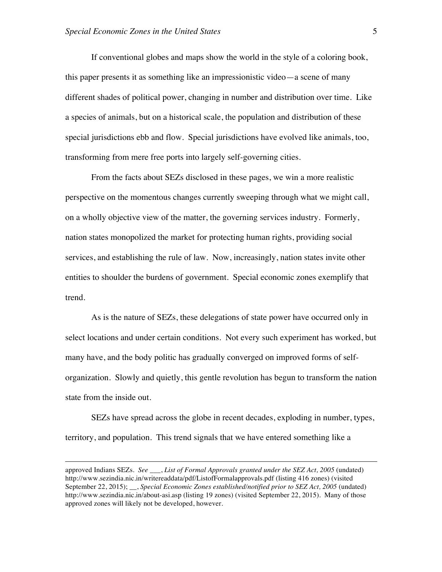If conventional globes and maps show the world in the style of a coloring book, this paper presents it as something like an impressionistic video—a scene of many different shades of political power, changing in number and distribution over time. Like a species of animals, but on a historical scale, the population and distribution of these special jurisdictions ebb and flow. Special jurisdictions have evolved like animals, too, transforming from mere free ports into largely self-governing cities.

From the facts about SEZs disclosed in these pages, we win a more realistic perspective on the momentous changes currently sweeping through what we might call, on a wholly objective view of the matter, the governing services industry. Formerly, nation states monopolized the market for protecting human rights, providing social services, and establishing the rule of law. Now, increasingly, nation states invite other entities to shoulder the burdens of government. Special economic zones exemplify that trend.

As is the nature of SEZs, these delegations of state power have occurred only in select locations and under certain conditions. Not every such experiment has worked, but many have, and the body politic has gradually converged on improved forms of selforganization. Slowly and quietly, this gentle revolution has begun to transform the nation state from the inside out.

SEZs have spread across the globe in recent decades, exploding in number, types, territory, and population. This trend signals that we have entered something like a

 $\overline{a}$ 

approved Indians SEZs. *See* \_\_\_, *List of Formal Approvals granted under the SEZ Act, 2005* (undated) http://www.sezindia.nic.in/writereaddata/pdf/ListofFormalapprovals.pdf (listing 416 zones) (visited September 22, 2015); \_\_, *Special Economic Zones established/notified prior to SEZ Act, 2005* (undated) http://www.sezindia.nic.in/about-asi.asp (listing 19 zones) (visited September 22, 2015). Many of those approved zones will likely not be developed, however.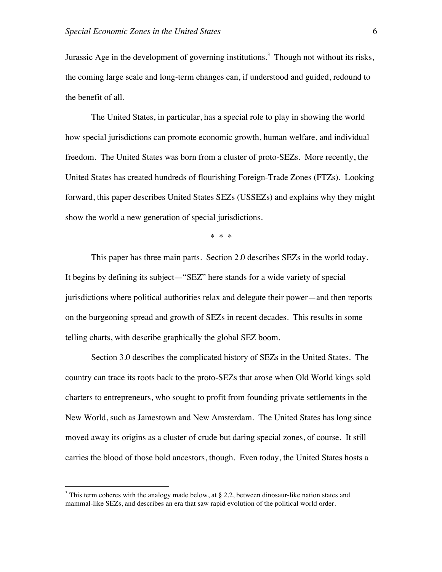Jurassic Age in the development of governing institutions.<sup>3</sup> Though not without its risks, the coming large scale and long-term changes can, if understood and guided, redound to the benefit of all.

The United States, in particular, has a special role to play in showing the world how special jurisdictions can promote economic growth, human welfare, and individual freedom. The United States was born from a cluster of proto-SEZs. More recently, the United States has created hundreds of flourishing Foreign-Trade Zones (FTZs). Looking forward, this paper describes United States SEZs (USSEZs) and explains why they might show the world a new generation of special jurisdictions.

\* \* \*

This paper has three main parts. Section 2.0 describes SEZs in the world today. It begins by defining its subject—"SEZ" here stands for a wide variety of special jurisdictions where political authorities relax and delegate their power—and then reports on the burgeoning spread and growth of SEZs in recent decades. This results in some telling charts, with describe graphically the global SEZ boom.

Section 3.0 describes the complicated history of SEZs in the United States. The country can trace its roots back to the proto-SEZs that arose when Old World kings sold charters to entrepreneurs, who sought to profit from founding private settlements in the New World, such as Jamestown and New Amsterdam. The United States has long since moved away its origins as a cluster of crude but daring special zones, of course. It still carries the blood of those bold ancestors, though. Even today, the United States hosts a

<sup>&</sup>lt;sup>3</sup> This term coheres with the analogy made below, at  $\S 2.2$ , between dinosaur-like nation states and mammal-like SEZs, and describes an era that saw rapid evolution of the political world order.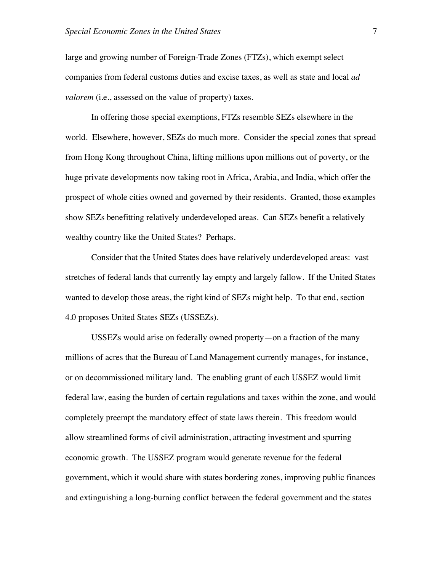large and growing number of Foreign-Trade Zones (FTZs), which exempt select companies from federal customs duties and excise taxes, as well as state and local *ad valorem* (i.e., assessed on the value of property) taxes.

In offering those special exemptions, FTZs resemble SEZs elsewhere in the world. Elsewhere, however, SEZs do much more. Consider the special zones that spread from Hong Kong throughout China, lifting millions upon millions out of poverty, or the huge private developments now taking root in Africa, Arabia, and India, which offer the prospect of whole cities owned and governed by their residents. Granted, those examples show SEZs benefitting relatively underdeveloped areas. Can SEZs benefit a relatively wealthy country like the United States? Perhaps.

Consider that the United States does have relatively underdeveloped areas: vast stretches of federal lands that currently lay empty and largely fallow. If the United States wanted to develop those areas, the right kind of SEZs might help. To that end, section 4.0 proposes United States SEZs (USSEZs).

USSEZs would arise on federally owned property—on a fraction of the many millions of acres that the Bureau of Land Management currently manages, for instance, or on decommissioned military land. The enabling grant of each USSEZ would limit federal law, easing the burden of certain regulations and taxes within the zone, and would completely preempt the mandatory effect of state laws therein. This freedom would allow streamlined forms of civil administration, attracting investment and spurring economic growth. The USSEZ program would generate revenue for the federal government, which it would share with states bordering zones, improving public finances and extinguishing a long-burning conflict between the federal government and the states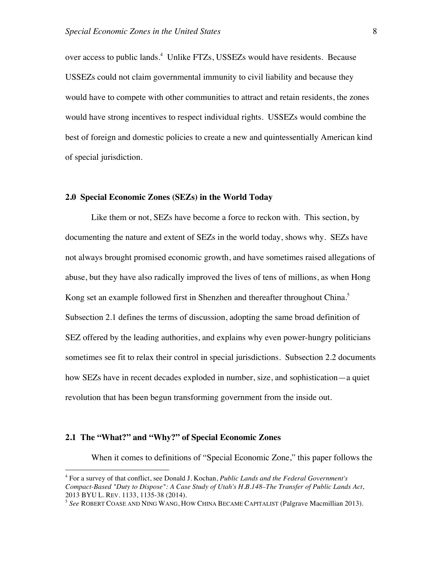over access to public lands.<sup>4</sup> Unlike FTZs, USSEZs would have residents. Because USSEZs could not claim governmental immunity to civil liability and because they would have to compete with other communities to attract and retain residents, the zones would have strong incentives to respect individual rights. USSEZs would combine the best of foreign and domestic policies to create a new and quintessentially American kind of special jurisdiction.

## **2.0 Special Economic Zones (SEZs) in the World Today**

Like them or not, SEZs have become a force to reckon with. This section, by documenting the nature and extent of SEZs in the world today, shows why. SEZs have not always brought promised economic growth, and have sometimes raised allegations of abuse, but they have also radically improved the lives of tens of millions, as when Hong Kong set an example followed first in Shenzhen and thereafter throughout China.<sup>5</sup> Subsection 2.1 defines the terms of discussion, adopting the same broad definition of SEZ offered by the leading authorities, and explains why even power-hungry politicians sometimes see fit to relax their control in special jurisdictions. Subsection 2.2 documents how SEZs have in recent decades exploded in number, size, and sophistication—a quiet revolution that has been begun transforming government from the inside out.

# **2.1 The "What?" and "Why?" of Special Economic Zones**

When it comes to definitions of "Special Economic Zone," this paper follows the

 <sup>4</sup> For a survey of that conflict, see Donald J. Kochan, *Public Lands and the Federal Government's Compact-Based "Duty to Dispose": A Case Study of Utah's H.B.148–The Transfer of Public Lands Act*, 2013 BYU L. REV. 1133, 1135-38 (2014).

<sup>5</sup> *See* ROBERT COASE AND NING WANG, HOW CHINA BECAME CAPITALIST (Palgrave Macmillian 2013).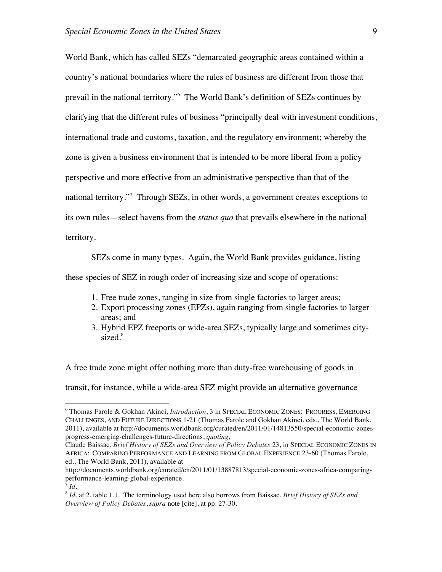World Bank, which has called SEZs "demarcated geographic areas contained within a country's national boundaries where the rules of business are different from those that prevail in the national territory."6 The World Bank's definition of SEZs continues by clarifying that the different rules of business "principally deal with investment conditions, international trade and customs, taxation, and the regulatory environment; whereby the zone is given a business environment that is intended to be more liberal from a policy perspective and more effective from an administrative perspective than that of the national territory."<sup>7</sup> Through SEZs, in other words, a government creates exceptions to its own rules—select havens from the *status quo* that prevails elsewhere in the national territory.

SEZs come in many types. Again, the World Bank provides guidance, listing

these species of SEZ in rough order of increasing size and scope of operations:

- 1. Free trade zones, ranging in size from single factories to larger areas;
- 2. Export processing zones (EPZs), again ranging from single factories to larger areas; and
- 3. Hybrid EPZ freeports or wide-area SEZs, typically large and sometimes citysized. 8

A free trade zone might offer nothing more than duty-free warehousing of goods in transit, for instance, while a wide-area SEZ might provide an alternative governance

 <sup>6</sup> Thomas Farole & Gokhan Akinci, *Introduction*, 3 in SPECIAL ECONOMIC ZONES: PROGRESS, EMERGING CHALLENGES, AND FUTURE DIRECTIONS 1-21 (Thomas Farole and Gokhan Akinci, eds., The World Bank, 2011), available at http://documents.worldbank.org/curated/en/2011/01/14813550/special-economic-zonesprogress-emerging-challenges-future-directions, *quoting,*

Claude Baissac, *Brief History of SEZs and Overview of Policy Debates* 23, in SPECIAL ECONOMIC ZONES IN AFRICA: COMPARING PERFORMANCE AND LEARNING FROM GLOBAL EXPERIENCE 23-60 (Thomas Farole, ed., The World Bank, 2011), available at

http://documents.worldbank.org/curated/en/2011/01/13887813/special-economic-zones-africa-comparingperformance-learning-global-experience.

*Id.* 

<sup>8</sup> *Id*. at 2, table 1.1. The terminology used here also borrows from Baissac, *Brief History of SEZs and Overview of Policy Debates*, *supra* note [cite], at pp. 27-30.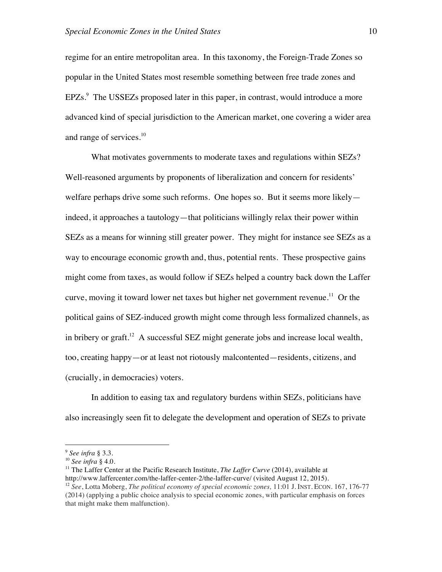regime for an entire metropolitan area. In this taxonomy, the Foreign-Trade Zones so popular in the United States most resemble something between free trade zones and EPZs.<sup>9</sup> The USSEZs proposed later in this paper, in contrast, would introduce a more advanced kind of special jurisdiction to the American market, one covering a wider area and range of services.<sup>10</sup>

What motivates governments to moderate taxes and regulations within SEZs? Well-reasoned arguments by proponents of liberalization and concern for residents' welfare perhaps drive some such reforms. One hopes so. But it seems more likely indeed, it approaches a tautology—that politicians willingly relax their power within SEZs as a means for winning still greater power. They might for instance see SEZs as a way to encourage economic growth and, thus, potential rents. These prospective gains might come from taxes, as would follow if SEZs helped a country back down the Laffer curve, moving it toward lower net taxes but higher net government revenue.<sup>11</sup> Or the political gains of SEZ-induced growth might come through less formalized channels, as in bribery or graft.<sup>12</sup> A successful SEZ might generate jobs and increase local wealth, too, creating happy—or at least not riotously malcontented—residents, citizens, and (crucially, in democracies) voters.

In addition to easing tax and regulatory burdens within SEZs, politicians have also increasingly seen fit to delegate the development and operation of SEZs to private

 <sup>9</sup> *See infra* § 3.3.

<sup>10</sup> *See infra* § 4.0.

<sup>&</sup>lt;sup>11</sup> The Laffer Center at the Pacific Research Institute, *The Laffer Curve* (2014), available at http://www.laffercenter.com/the-laffer-center-2/the-laffer-curve/ (visited August 12, 2015). <sup>12</sup> *See*, Lotta Moberg, *The political economy of special economic zones,* 11:01 J. INST. ECON. 167, 176-77 (2014) (applying a public choice analysis to special economic zones, with particular emphasis on forces

that might make them malfunction).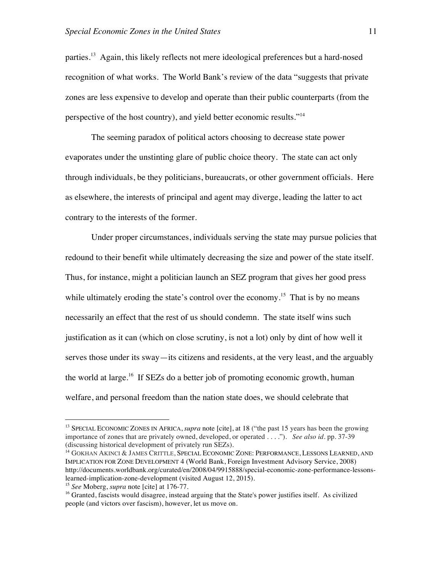parties.13 Again, this likely reflects not mere ideological preferences but a hard-nosed recognition of what works. The World Bank's review of the data "suggests that private zones are less expensive to develop and operate than their public counterparts (from the perspective of the host country), and yield better economic results."<sup>14</sup>

The seeming paradox of political actors choosing to decrease state power evaporates under the unstinting glare of public choice theory. The state can act only through individuals, be they politicians, bureaucrats, or other government officials. Here as elsewhere, the interests of principal and agent may diverge, leading the latter to act contrary to the interests of the former.

Under proper circumstances, individuals serving the state may pursue policies that redound to their benefit while ultimately decreasing the size and power of the state itself. Thus, for instance, might a politician launch an SEZ program that gives her good press while ultimately eroding the state's control over the economy.<sup>15</sup> That is by no means necessarily an effect that the rest of us should condemn. The state itself wins such justification as it can (which on close scrutiny, is not a lot) only by dint of how well it serves those under its sway—its citizens and residents, at the very least, and the arguably the world at large.<sup>16</sup> If SEZs do a better job of promoting economic growth, human welfare, and personal freedom than the nation state does, we should celebrate that

<sup>&</sup>lt;sup>13</sup> SPECIAL ECONOMIC ZONES IN AFRICA, *supra* note [cite], at 18 ("the past 15 years has been the growing importance of zones that are privately owned, developed, or operated . . . ."). *See also id.* pp. 37-39 (discussing historical development of privately run SEZs).

<sup>&</sup>lt;sup>14</sup> GOKHAN AKINCI & JAMES CRITTLE, SPECIAL ECONOMIC ZONE: PERFORMANCE, LESSONS LEARNED, AND IMPLICATION FOR ZONE DEVELOPMENT 4 (World Bank, Foreign Investment Advisory Service, 2008) http://documents.worldbank.org/curated/en/2008/04/9915888/special-economic-zone-performance-lessonslearned-implication-zone-development (visited August 12, 2015).

<sup>15</sup> *See* Moberg, *supra* note [cite] at 176-77.

<sup>&</sup>lt;sup>16</sup> Granted, fascists would disagree, instead arguing that the State's power justifies itself. As civilized people (and victors over fascism), however, let us move on.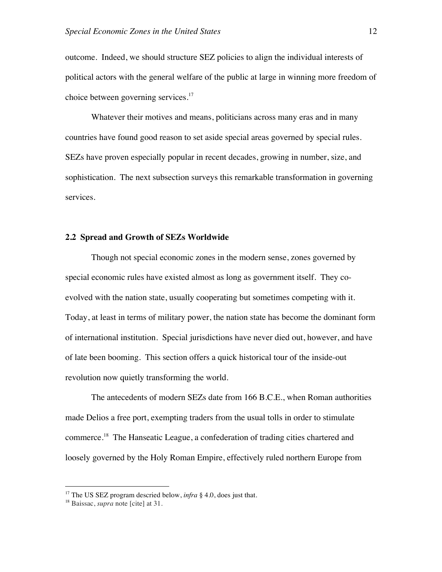outcome. Indeed, we should structure SEZ policies to align the individual interests of political actors with the general welfare of the public at large in winning more freedom of choice between governing services.<sup>17</sup>

Whatever their motives and means, politicians across many eras and in many countries have found good reason to set aside special areas governed by special rules. SEZs have proven especially popular in recent decades, growing in number, size, and sophistication. The next subsection surveys this remarkable transformation in governing services.

# **2.2 Spread and Growth of SEZs Worldwide**

Though not special economic zones in the modern sense, zones governed by special economic rules have existed almost as long as government itself. They coevolved with the nation state, usually cooperating but sometimes competing with it. Today, at least in terms of military power, the nation state has become the dominant form of international institution. Special jurisdictions have never died out, however, and have of late been booming. This section offers a quick historical tour of the inside-out revolution now quietly transforming the world.

The antecedents of modern SEZs date from 166 B.C.E., when Roman authorities made Delios a free port, exempting traders from the usual tolls in order to stimulate commerce.<sup>18</sup> The Hanseatic League, a confederation of trading cities chartered and loosely governed by the Holy Roman Empire, effectively ruled northern Europe from

<sup>&</sup>lt;sup>17</sup> The US SEZ program descried below, *infra* § 4.0, does just that.

<sup>18</sup> Baissac, *supra* note [cite] at 31.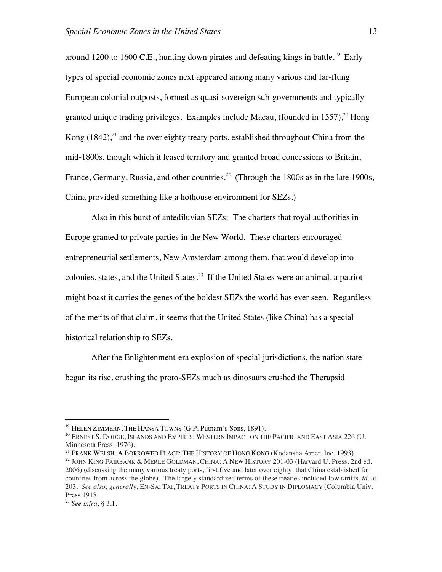around 1200 to 1600 C.E., hunting down pirates and defeating kings in battle.<sup>19</sup> Early types of special economic zones next appeared among many various and far-flung European colonial outposts, formed as quasi-sovereign sub-governments and typically granted unique trading privileges. Examples include Macau, (founded in  $1557$ ),<sup>20</sup> Hong Kong  $(1842)$ ,<sup>21</sup> and the over eighty treaty ports, established throughout China from the mid-1800s, though which it leased territory and granted broad concessions to Britain, France, Germany, Russia, and other countries.<sup>22</sup> (Through the 1800s as in the late 1900s, China provided something like a hothouse environment for SEZs.)

Also in this burst of antediluvian SEZs: The charters that royal authorities in Europe granted to private parties in the New World. These charters encouraged entrepreneurial settlements, New Amsterdam among them, that would develop into colonies, states, and the United States. 23 If the United States were an animal, a patriot might boast it carries the genes of the boldest SEZs the world has ever seen. Regardless of the merits of that claim, it seems that the United States (like China) has a special historical relationship to SEZs.

After the Enlightenment-era explosion of special jurisdictions, the nation state began its rise, crushing the proto-SEZs much as dinosaurs crushed the Therapsid

<sup>&</sup>lt;sup>19</sup> HELEN ZIMMERN, THE HANSA TOWNS (G.P. Putnam's Sons, 1891).

<sup>&</sup>lt;sup>20</sup> ERNEST S. DODGE, ISLANDS AND EMPIRES: WESTERN IMPACT ON THE PACIFIC AND EAST ASIA 226 (U. Minnesota Press. 1976).

<sup>&</sup>lt;sup>21</sup> FRANK WELSH, A BORROWED PLACE: THE HISTORY OF HONG KONG (Kodansha Amer. Inc. 1993). <sup>22</sup> JOHN KING FAIRBANK & MERLE GOLDMAN, CHINA: A NEW HISTORY 201-03 (Harvard U. Press, 2nd ed. 2006) (discussing the many various treaty ports, first five and later over eighty, that China established for countries from across the globe). The largely standardized terms of these treaties included low tariffs, *id.* at 203. *See also, generally*, EN-SAI TAI, TREATY PORTS IN CHINA: A STUDY IN DIPLOMACY (Columbia Univ. Press 1918

<sup>23</sup> *See infra*, § 3.1.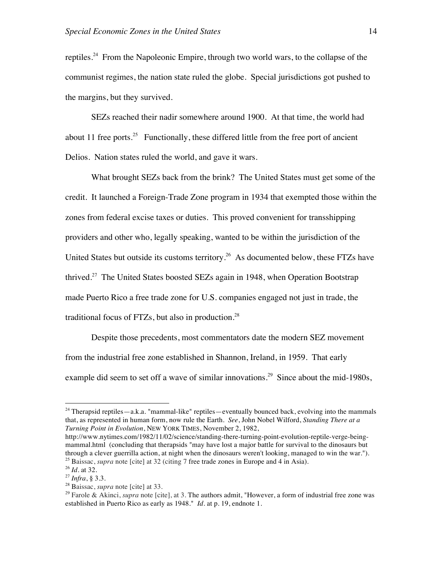reptiles.24 From the Napoleonic Empire, through two world wars, to the collapse of the communist regimes, the nation state ruled the globe. Special jurisdictions got pushed to the margins, but they survived.

SEZs reached their nadir somewhere around 1900. At that time, the world had about 11 free ports.<sup>25</sup> Functionally, these differed little from the free port of ancient Delios. Nation states ruled the world, and gave it wars.

What brought SEZs back from the brink? The United States must get some of the credit. It launched a Foreign-Trade Zone program in 1934 that exempted those within the zones from federal excise taxes or duties. This proved convenient for transshipping providers and other who, legally speaking, wanted to be within the jurisdiction of the United States but outside its customs territory.<sup>26</sup> As documented below, these FTZs have thrived.27 The United States boosted SEZs again in 1948, when Operation Bootstrap made Puerto Rico a free trade zone for U.S. companies engaged not just in trade, the traditional focus of FTZs, but also in production. $^{28}$ 

Despite those precedents, most commentators date the modern SEZ movement from the industrial free zone established in Shannon, Ireland, in 1959. That early example did seem to set off a wave of similar innovations.<sup>29</sup> Since about the mid-1980s,

http://www.nytimes.com/1982/11/02/science/standing-there-turning-point-evolution-reptile-verge-beingmammal.html (concluding that therapsids "may have lost a major battle for survival to the dinosaurs but through a clever guerrilla action, at night when the dinosaurs weren't looking, managed to win the war."). <sup>25</sup> Baissac, *supra* note [cite] at 32 (citing 7 free trade zones in Europe and 4 in Asia).<br><sup>26</sup> *Id.* at 32.

 $24$  Therapsid reptiles—a.k.a. "mammal-like" reptiles—eventually bounced back, evolving into the mammals that, as represented in human form, now rule the Earth. *See*, John Nobel Wilford, *Standing There at a Turning Point in Evolution*, NEW YORK TIMES, November 2, 1982,

<sup>&</sup>lt;sup>27</sup> *Infra*, § 3.3.

<sup>28</sup> Baissac, *supra* note [cite] at 33.

<sup>29</sup> Farole & Akinci, *supra* note [cite], at 3. The authors admit, "However, a form of industrial free zone was established in Puerto Rico as early as 1948." *Id.* at p. 19, endnote 1.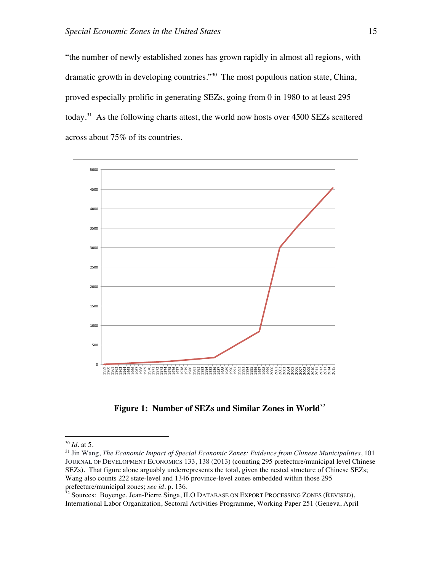"the number of newly established zones has grown rapidly in almost all regions, with dramatic growth in developing countries."<sup>30</sup> The most populous nation state, China, proved especially prolific in generating SEZs, going from 0 in 1980 to at least 295 today.31 As the following charts attest, the world now hosts over 4500 SEZs scattered across about 75% of its countries.



**Figure 1: Number of SEZs and Similar Zones in World**<sup>32</sup>

 <sup>30</sup> *Id.* at 5.

<sup>31</sup> Jin Wang, *The Economic Impact of Special Economic Zones: Evidence from Chinese Municipalities*, 101 JOURNAL OF DEVELOPMENT ECONOMICS 133, 138 (2013) (counting 295 prefecture/municipal level Chinese SEZs). That figure alone arguably underrepresents the total, given the nested structure of Chinese SEZs; Wang also counts 222 state-level and 1346 province-level zones embedded within those 295 prefecture/municipal zones; *see id*. p. 136.

<sup>32</sup> Sources: Boyenge, Jean-Pierre Singa, ILO DATABASE ON EXPORT PROCESSING ZONES (REVISED), International Labor Organization, Sectoral Activities Programme, Working Paper 251 (Geneva, April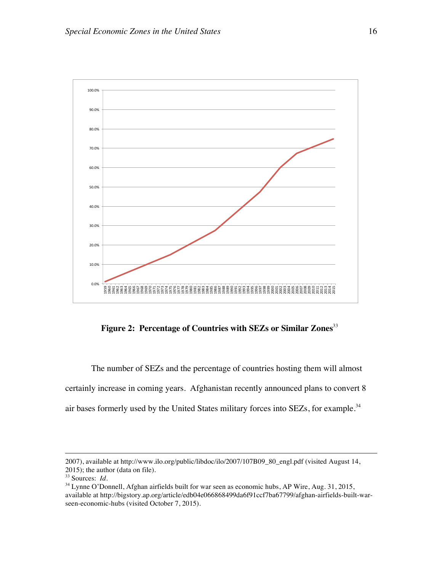

**Figure 2: Percentage of Countries with SEZs or Similar Zones**<sup>33</sup>

The number of SEZs and the percentage of countries hosting them will almost certainly increase in coming years. Afghanistan recently announced plans to convert 8 air bases formerly used by the United States military forces into SEZs, for example.<sup>34</sup>

 $\overline{a}$ 

<sup>2007),</sup> available at http://www.ilo.org/public/libdoc/ilo/2007/107B09\_80\_engl.pdf (visited August 14, 2015); the author (data on file).

<sup>33</sup> Sources: *Id*.

<sup>&</sup>lt;sup>34</sup> Lynne O'Donnell, Afghan airfields built for war seen as economic hubs, AP Wire, Aug. 31, 2015, available at http://bigstory.ap.org/article/edb04e066868499da6f91ccf7ba67799/afghan-airfields-built-warseen-economic-hubs (visited October 7, 2015).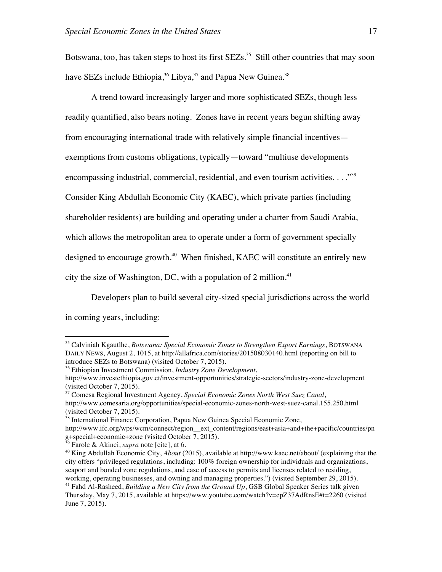Botswana, too, has taken steps to host its first SEZs.<sup>35</sup> Still other countries that may soon have SEZs include Ethiopia,<sup>36</sup> Libya,<sup>37</sup> and Papua New Guinea.<sup>38</sup>

A trend toward increasingly larger and more sophisticated SEZs, though less readily quantified, also bears noting. Zones have in recent years begun shifting away from encouraging international trade with relatively simple financial incentives exemptions from customs obligations, typically—toward "multiuse developments encompassing industrial, commercial, residential, and even tourism activities. . . ."39 Consider King Abdullah Economic City (KAEC), which private parties (including shareholder residents) are building and operating under a charter from Saudi Arabia, which allows the metropolitan area to operate under a form of government specially designed to encourage growth.<sup>40</sup> When finished, KAEC will constitute an entirely new city the size of Washington, DC, with a population of 2 million.<sup>41</sup>

Developers plan to build several city-sized special jurisdictions across the world in coming years, including:

 <sup>35</sup> Calviniah Kgautlhe, *Botswana: Special Economic Zones to Strengthen Export Earnings*, BOTSWANA DAILY NEWS, August 2, 1015, at http://allafrica.com/stories/201508030140.html (reporting on bill to introduce SEZs to Botswana) (visited October 7, 2015).

<sup>36</sup> Ethiopian Investment Commission, *Industry Zone Development*,

http://www.investethiopia.gov.et/investment-opportunities/strategic-sectors/industry-zone-development (visited October 7, 2015).

<sup>37</sup> Comesa Regional Investment Agency, *Special Economic Zones North West Suez Canal*, http://www.comesaria.org/opportunities/special-economic-zones-north-west-suez-canal.155.250.html

<sup>(</sup>visited October 7, 2015).

<sup>&</sup>lt;sup>38</sup> International Finance Corporation, Papua New Guinea Special Economic Zone,

http://www.ifc.org/wps/wcm/connect/region\_\_ext\_content/regions/east+asia+and+the+pacific/countries/pn g+special+economic+zone (visited October 7, 2015).

<sup>39</sup> Farole & Akinci, *supra* note [cite], at 6.

<sup>40</sup> King Abdullah Economic City, *About* (2015), available at http://www.kaec.net/about/ (explaining that the city offers "privileged regulations, including: 100% foreign ownership for individuals and organizations, seaport and bonded zone regulations, and ease of access to permits and licenses related to residing,

working, operating businesses, and owning and managing properties.") (visited September 29, 2015). <sup>41</sup> Fahd Al-Rasheed, *Building a New City from the Ground Up*, GSB Global Speaker Series talk given Thursday, May 7, 2015, available at https://www.youtube.com/watch?v=epZ37AdRnsE#t=2260 (visited June 7, 2015).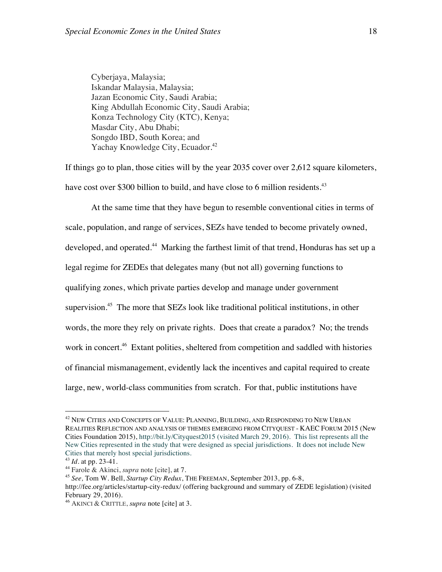Cyberjaya, Malaysia; Iskandar Malaysia, Malaysia; Jazan Economic City, Saudi Arabia; King Abdullah Economic City, Saudi Arabia; Konza Technology City (KTC), Kenya; Masdar City, Abu Dhabi; Songdo IBD, South Korea; and Yachay Knowledge City, Ecuador.<sup>42</sup>

If things go to plan, those cities will by the year 2035 cover over 2,612 square kilometers, have cost over \$300 billion to build, and have close to 6 million residents.<sup>43</sup>

At the same time that they have begun to resemble conventional cities in terms of scale, population, and range of services, SEZs have tended to become privately owned, developed, and operated.<sup>44</sup> Marking the farthest limit of that trend, Honduras has set up a legal regime for ZEDEs that delegates many (but not all) governing functions to qualifying zones, which private parties develop and manage under government supervision.<sup>45</sup> The more that SEZs look like traditional political institutions, in other words, the more they rely on private rights. Does that create a paradox? No; the trends work in concert.<sup>46</sup> Extant polities, sheltered from competition and saddled with histories of financial mismanagement, evidently lack the incentives and capital required to create large, new, world-class communities from scratch. For that, public institutions have

 $^{42}$  New Cities and Concepts of Value: Planning, Building, and Responding to New Urban REALITIES REFLECTION AND ANALYSIS OF THEMES EMERGING FROM CITYQUEST - KAEC FORUM 2015 (New Cities Foundation 2015), http://bit.ly/Cityquest2015 (visited March 29, 2016). This list represents all the New Cities represented in the study that were designed as special jurisdictions. It does not include New Cities that merely host special jurisdictions.

<sup>43</sup> *Id.* at pp. 23-41.

<sup>44</sup> Farole & Akinci, *supra* note [cite], at 7.

<sup>45</sup> *See,* Tom W. Bell, *Startup City Redux*, THE FREEMAN, September 2013, pp. 6-8,

http://fee.org/articles/startup-city-redux/ (offering background and summary of ZEDE legislation) (visited February 29, 2016).

<sup>46</sup> AKINCI & CRITTLE, *supra* note [cite] at 3.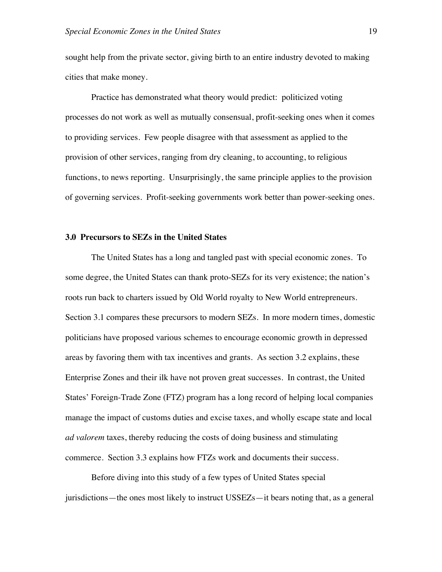sought help from the private sector, giving birth to an entire industry devoted to making cities that make money.

Practice has demonstrated what theory would predict: politicized voting processes do not work as well as mutually consensual, profit-seeking ones when it comes to providing services. Few people disagree with that assessment as applied to the provision of other services, ranging from dry cleaning, to accounting, to religious functions, to news reporting. Unsurprisingly, the same principle applies to the provision of governing services. Profit-seeking governments work better than power-seeking ones.

#### **3.0 Precursors to SEZs in the United States**

The United States has a long and tangled past with special economic zones. To some degree, the United States can thank proto-SEZs for its very existence; the nation's roots run back to charters issued by Old World royalty to New World entrepreneurs. Section 3.1 compares these precursors to modern SEZs. In more modern times, domestic politicians have proposed various schemes to encourage economic growth in depressed areas by favoring them with tax incentives and grants. As section 3.2 explains, these Enterprise Zones and their ilk have not proven great successes. In contrast, the United States' Foreign-Trade Zone (FTZ) program has a long record of helping local companies manage the impact of customs duties and excise taxes, and wholly escape state and local *ad valorem* taxes, thereby reducing the costs of doing business and stimulating commerce. Section 3.3 explains how FTZs work and documents their success.

Before diving into this study of a few types of United States special jurisdictions—the ones most likely to instruct USSEZs—it bears noting that, as a general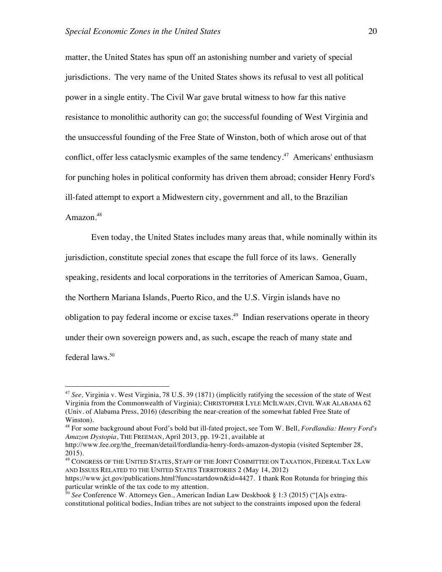matter, the United States has spun off an astonishing number and variety of special jurisdictions. The very name of the United States shows its refusal to vest all political power in a single entity. The Civil War gave brutal witness to how far this native resistance to monolithic authority can go; the successful founding of West Virginia and the unsuccessful founding of the Free State of Winston, both of which arose out of that conflict, offer less cataclysmic examples of the same tendency.<sup>47</sup> Americans' enthusiasm for punching holes in political conformity has driven them abroad; consider Henry Ford's ill-fated attempt to export a Midwestern city, government and all, to the Brazilian Amazon.<sup>48</sup>

Even today, the United States includes many areas that, while nominally within its jurisdiction, constitute special zones that escape the full force of its laws. Generally speaking, residents and local corporations in the territories of American Samoa, Guam, the Northern Mariana Islands, Puerto Rico, and the U.S. Virgin islands have no obligation to pay federal income or excise taxes.<sup>49</sup> Indian reservations operate in theory under their own sovereign powers and, as such, escape the reach of many state and federal laws.<sup>50</sup>

 <sup>47</sup> *See,* Virginia v. West Virginia, 78 U.S. 39 (1871) (implicitly ratifying the secession of the state of West Virginia from the Commonwealth of Virginia); CHRISTOPHER LYLE MCILWAIN, CIVIL WAR ALABAMA 62 (Univ. of Alabama Press, 2016) (describing the near-creation of the somewhat fabled Free State of Winston).

<sup>48</sup> For some background about Ford's bold but ill-fated project, see Tom W. Bell, *Fordlandia: Henry Ford's Amazon Dystopia*, THE FREEMAN, April 2013, pp. 19-21, available at

http://www.fee.org/the\_freeman/detail/fordlandia-henry-fords-amazon-dystopia (visited September 28, 2015).

<sup>49</sup> CONGRESS OF THE UNITED STATES, STAFF OF THE JOINT COMMITTEE ON TAXATION, FEDERAL TAX LAW AND ISSUES RELATED TO THE UNITED STATES TERRITORIES 2 (May 14, 2012)

https://www.jct.gov/publications.html?func=startdown&id=4427. I thank Ron Rotunda for bringing this particular wrinkle of the tax code to my attention.

<sup>50</sup> *See* Conference W. Attorneys Gen., American Indian Law Deskbook § 1:3 (2015) ("[A]s extraconstitutional political bodies, Indian tribes are not subject to the constraints imposed upon the federal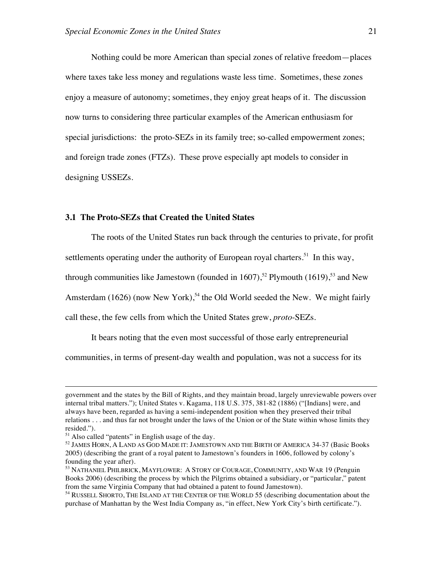Nothing could be more American than special zones of relative freedom—places where taxes take less money and regulations waste less time. Sometimes, these zones enjoy a measure of autonomy; sometimes, they enjoy great heaps of it. The discussion now turns to considering three particular examples of the American enthusiasm for special jurisdictions: the proto-SEZs in its family tree; so-called empowerment zones; and foreign trade zones (FTZs). These prove especially apt models to consider in designing USSEZs.

## **3.1 The Proto-SEZs that Created the United States**

The roots of the United States run back through the centuries to private, for profit

settlements operating under the authority of European royal charters.<sup>51</sup> In this way,

through communities like Jamestown (founded in 1607),<sup>52</sup> Plymouth (1619),<sup>53</sup> and New

Amsterdam (1626) (now New York),<sup>54</sup> the Old World seeded the New. We might fairly

call these, the few cells from which the United States grew, *proto*-SEZs.

It bears noting that the even most successful of those early entrepreneurial

communities, in terms of present-day wealth and population, was not a success for its

 $\overline{a}$ 

government and the states by the Bill of Rights, and they maintain broad, largely unreviewable powers over internal tribal matters."); United States v. Kagama, 118 U.S. 375, 381-82 (1886) ("[Indians] were, and always have been, regarded as having a semi-independent position when they preserved their tribal relations . . . and thus far not brought under the laws of the Union or of the State within whose limits they resided.").<br><sup>51</sup> Also called "patents" in English usage of the day.

<sup>&</sup>lt;sup>52</sup> JAMES HORN, A LAND AS GOD MADE IT: JAMESTOWN AND THE BIRTH OF AMERICA 34-37 (Basic Books 2005) (describing the grant of a royal patent to Jamestown's founders in 1606, followed by colony's founding the year after).

<sup>53</sup> NATHANIEL PHILBRICK, MAYFLOWER: A STORY OF COURAGE, COMMUNITY, AND WAR 19 (Penguin Books 2006) (describing the process by which the Pilgrims obtained a subsidiary, or "particular," patent from the same Virginia Company that had obtained a patent to found Jamestown).

<sup>54</sup> RUSSELL SHORTO, THE ISLAND AT THE CENTER OF THE WORLD 55 (describing documentation about the purchase of Manhattan by the West India Company as, "in effect, New York City's birth certificate.").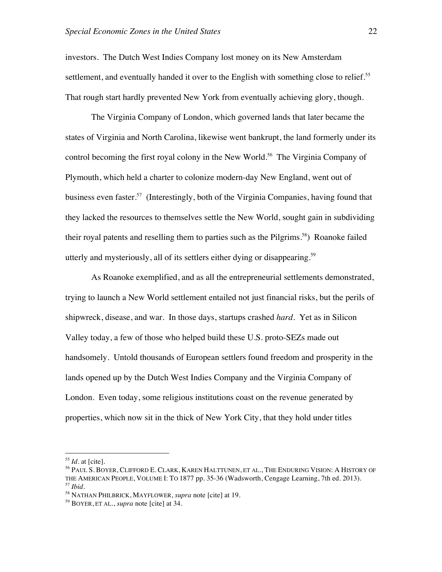investors. The Dutch West Indies Company lost money on its New Amsterdam settlement, and eventually handed it over to the English with something close to relief.<sup>55</sup> That rough start hardly prevented New York from eventually achieving glory, though.

The Virginia Company of London, which governed lands that later became the states of Virginia and North Carolina, likewise went bankrupt, the land formerly under its control becoming the first royal colony in the New World.<sup>56</sup> The Virginia Company of Plymouth, which held a charter to colonize modern-day New England, went out of business even faster.<sup>57</sup> (Interestingly, both of the Virginia Companies, having found that they lacked the resources to themselves settle the New World, sought gain in subdividing their royal patents and reselling them to parties such as the Pilgrims.<sup>58</sup>) Roanoke failed utterly and mysteriously, all of its settlers either dying or disappearing.<sup>59</sup>

As Roanoke exemplified, and as all the entrepreneurial settlements demonstrated, trying to launch a New World settlement entailed not just financial risks, but the perils of shipwreck, disease, and war. In those days, startups crashed *hard*. Yet as in Silicon Valley today, a few of those who helped build these U.S. proto-SEZs made out handsomely. Untold thousands of European settlers found freedom and prosperity in the lands opened up by the Dutch West Indies Company and the Virginia Company of London. Even today, some religious institutions coast on the revenue generated by properties, which now sit in the thick of New York City, that they hold under titles

 $55$  *Id.* at [cite].

<sup>56</sup> PAUL S. BOYER, CLIFFORD E. CLARK, KAREN HALTTUNEN, ET AL., THE ENDURING VISION: A HISTORY OF THE AMERICAN PEOPLE, VOLUME I: TO 1877 pp. 35-36 (Wadsworth, Cengage Learning, 7th ed. 2013). <sup>57</sup> *Ibid.*

<sup>58</sup> NATHAN PHILBRICK, MAYFLOWER, *supra* note [cite] at 19.

<sup>59</sup> BOYER, ET AL., *supra* note [cite] at 34.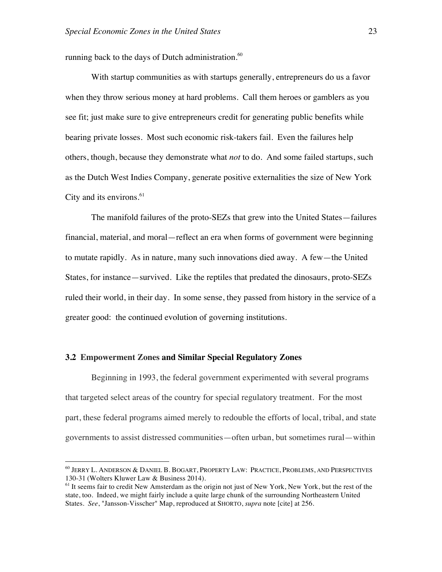running back to the days of Dutch administration.<sup>60</sup>

With startup communities as with startups generally, entrepreneurs do us a favor when they throw serious money at hard problems. Call them heroes or gamblers as you see fit; just make sure to give entrepreneurs credit for generating public benefits while bearing private losses. Most such economic risk-takers fail. Even the failures help others, though, because they demonstrate what *not* to do. And some failed startups, such as the Dutch West Indies Company, generate positive externalities the size of New York City and its environs. 61

The manifold failures of the proto-SEZs that grew into the United States—failures financial, material, and moral—reflect an era when forms of government were beginning to mutate rapidly. As in nature, many such innovations died away. A few—the United States, for instance—survived. Like the reptiles that predated the dinosaurs, proto-SEZs ruled their world, in their day. In some sense, they passed from history in the service of a greater good: the continued evolution of governing institutions.

# **3.2 Empowerment Zones and Similar Special Regulatory Zones**

Beginning in 1993, the federal government experimented with several programs that targeted select areas of the country for special regulatory treatment. For the most part, these federal programs aimed merely to redouble the efforts of local, tribal, and state governments to assist distressed communities—often urban, but sometimes rural—within

 <sup>60</sup> JERRY L. ANDERSON & DANIEL B. BOGART, PROPERTY LAW: PRACTICE, PROBLEMS, AND PERSPECTIVES 130-31 (Wolters Kluwer Law & Business 2014).

 $<sup>61</sup>$  It seems fair to credit New Amsterdam as the origin not just of New York, New York, but the rest of the</sup> state, too. Indeed, we might fairly include a quite large chunk of the surrounding Northeastern United States. *See*, "Jansson-Visscher" Map, reproduced at SHORTO, *supra* note [cite] at 256.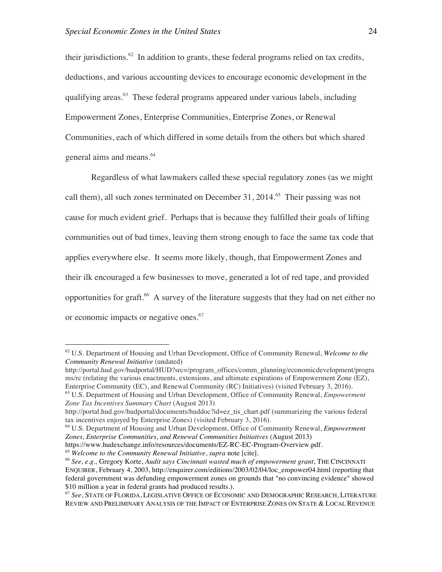their jurisdictions.<sup>62</sup> In addition to grants, these federal programs relied on tax credits, deductions, and various accounting devices to encourage economic development in the qualifying areas.63 These federal programs appeared under various labels, including Empowerment Zones, Enterprise Communities, Enterprise Zones, or Renewal Communities, each of which differed in some details from the others but which shared general aims and means.<sup>64</sup>

Regardless of what lawmakers called these special regulatory zones (as we might call them), all such zones terminated on December 31, 2014.<sup>65</sup> Their passing was not cause for much evident grief. Perhaps that is because they fulfilled their goals of lifting communities out of bad times, leaving them strong enough to face the same tax code that applies everywhere else. It seems more likely, though, that Empowerment Zones and their ilk encouraged a few businesses to move, generated a lot of red tape, and provided opportunities for graft.<sup>66</sup> A survey of the literature suggests that they had on net either no or economic impacts or negative ones.<sup>67</sup>

https://www.hudexchange.info/resources/documents/EZ-RC-EC-Program-Overview.pdf.

 <sup>62</sup> U.S. Department of Housing and Urban Development, Office of Community Renewal, *Welcome to the Community Renewal Initiative* (undated)

http://portal.hud.gov/hudportal/HUD?src=/program\_offices/comm\_planning/economicdevelopment/progra ms/rc (relating the various enactments, extensions, and ultimate expirations of Empowerment Zone (EZ), Enterprise Community (EC), and Renewal Community (RC) Initiatives) (visited February 3, 2016).

<sup>63</sup> U.S. Department of Housing and Urban Development, Office of Community Renewal, *Empowerment Zone Tax Incentives Summary Chart* (August 2013)

http://portal.hud.gov/hudportal/documents/huddoc?id=ez\_tis\_chart.pdf (summarizing the various federal tax incentives enjoyed by Enterprise Zones) (visited February 3, 2016).

<sup>64</sup> U.S. Department of Housing and Urban Development, Office of Community Renewal, *Empowerment Zones, Enterprise Communities, and Renewal Communities Initiatives* (August 2013)

<sup>65</sup> *Welcome to the Community Renewal Initiative*, *supra* note [cite].

<sup>66</sup> *See, e.g.,* Gregory Korte, *Audit says Cincinnati wasted much of empowerment grant*, THE CINCINNATI ENQUIRER, February 4, 2003, http://enquirer.com/editions/2003/02/04/loc\_empower04.html (reporting that federal government was defunding empowerment zones on grounds that "no convincing evidence" showed \$10 million a year in federal grants had produced results.).

<sup>67</sup> *See*, STATE OF FLORIDA, LEGISLATIVE OFFICE OF ECONOMIC AND DEMOGRAPHIC RESEARCH, LITERATURE REVIEW AND PRELIMINARY ANALYSIS OF THE IMPACT OF ENTERPRISE ZONES ON STATE & LOCAL REVENUE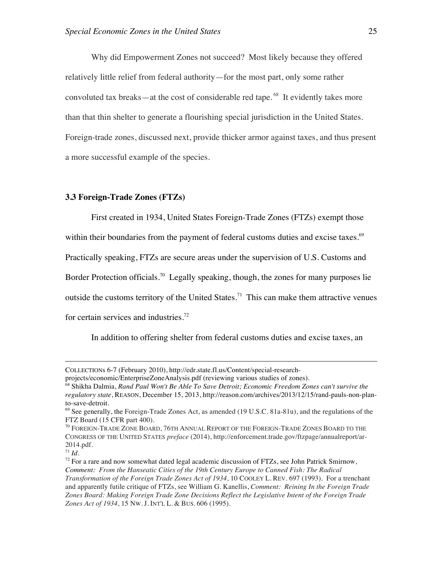Why did Empowerment Zones not succeed? Most likely because they offered relatively little relief from federal authority—for the most part, only some rather convoluted tax breaks—at the cost of considerable red tape.<sup>68</sup> It evidently takes more than that thin shelter to generate a flourishing special jurisdiction in the United States. Foreign-trade zones, discussed next, provide thicker armor against taxes, and thus present a more successful example of the species.

### **3.3 Foreign-Trade Zones (FTZs)**

First created in 1934, United States Foreign-Trade Zones (FTZs) exempt those

within their boundaries from the payment of federal customs duties and excise taxes.<sup>69</sup>

Practically speaking, FTZs are secure areas under the supervision of U.S. Customs and

Border Protection officials.<sup>70</sup> Legally speaking, though, the zones for many purposes lie

outside the customs territory of the United States.<sup>71</sup> This can make them attractive venues

for certain services and industries.72

In addition to offering shelter from federal customs duties and excise taxes, an

<sup>71</sup> *Id.*

 $\overline{a}$ 

COLLECTIONs 6-7 (February 2010), http://edr.state.fl.us/Content/special-research-

projects/economic/EnterpriseZoneAnalysis.pdf (reviewing various studies of zones).

<sup>68</sup> Shikha Dalmia, *Rand Paul Won't Be Able To Save Detroit; Economic Freedom Zones can't survive the regulatory state*, REASON, December 15, 2013, http://reason.com/archives/2013/12/15/rand-pauls-non-planto-save-detroit.

 $^{69}$  See generally, the Foreign-Trade Zones Act, as amended (19 U.S.C. 81a-81u), and the regulations of the FTZ Board (15 CFR part 400).

<sup>70</sup> FOREIGN-TRADE ZONE BOARD, 76TH ANNUAL REPORT OF THE FOREIGN-TRADE ZONES BOARD TO THE CONGRESS OF THE UNITED STATES *preface* (2014), http://enforcement.trade.gov/ftzpage/annualreport/ar-2014.pdf.

 $72$  For a rare and now somewhat dated legal academic discussion of FTZs, see John Patrick Smirnow, *Comment: From the Hanseatic Cities of the 19th Century Europe to Canned Fish: The Radical Transformation of the Foreign Trade Zones Act of 1934*, 10 COOLEY L. REV. 697 (1993). For a trenchant and apparently futile critique of FTZs, see William G. Kanellis, *Comment: Reining In the Foreign Trade Zones Board: Making Foreign Trade Zone Decisions Reflect the Legislative Intent of the Foreign Trade Zones Act of 1934*, 15 NW. J. INT'L L. & BUS. 606 (1995).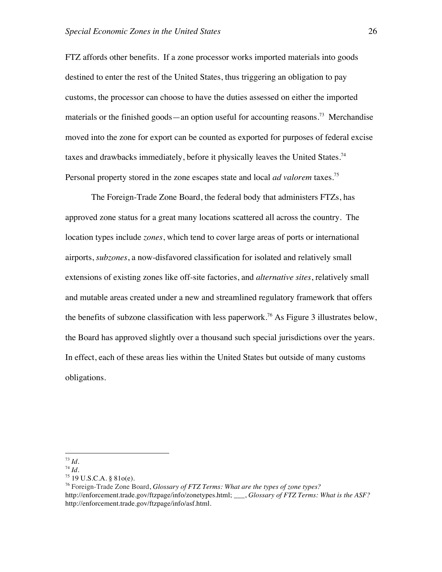FTZ affords other benefits. If a zone processor works imported materials into goods destined to enter the rest of the United States, thus triggering an obligation to pay customs, the processor can choose to have the duties assessed on either the imported materials or the finished goods—an option useful for accounting reasons.<sup>73</sup> Merchandise moved into the zone for export can be counted as exported for purposes of federal excise taxes and drawbacks immediately, before it physically leaves the United States.<sup>74</sup> Personal property stored in the zone escapes state and local *ad valorem* taxes. 75

The Foreign-Trade Zone Board, the federal body that administers FTZs, has approved zone status for a great many locations scattered all across the country. The location types include *zones*, which tend to cover large areas of ports or international airports, *subzones*, a now-disfavored classification for isolated and relatively small extensions of existing zones like off-site factories, and *alternative sites*, relatively small and mutable areas created under a new and streamlined regulatory framework that offers the benefits of subzone classification with less paperwork.<sup>76</sup> As Figure 3 illustrates below, the Board has approved slightly over a thousand such special jurisdictions over the years. In effect, each of these areas lies within the United States but outside of many customs obligations.

 <sup>73</sup> *Id.*

<sup>74</sup> *Id.*

 $75$  19 U.S.C.A. § 81o(e).

<sup>76</sup> Foreign-Trade Zone Board, *Glossary of FTZ Terms: What are the types of zone types?*  http://enforcement.trade.gov/ftzpage/info/zonetypes.html; \_\_\_, *Glossary of FTZ Terms: What is the ASF?*  http://enforcement.trade.gov/ftzpage/info/asf.html.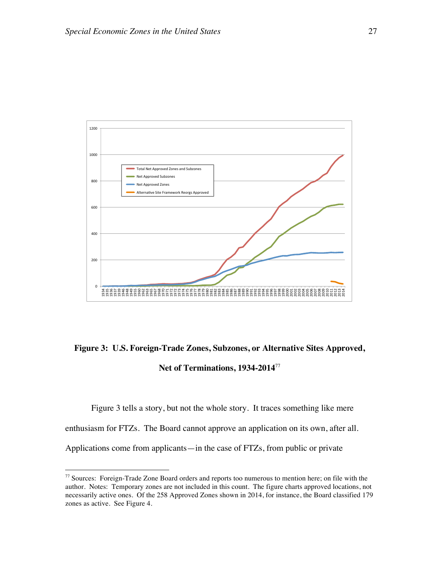

# **Figure 3: U.S. Foreign-Trade Zones, Subzones, or Alternative Sites Approved,**

**Net of Terminations, 1934-2014**<sup>77</sup>

Figure 3 tells a story, but not the whole story. It traces something like mere enthusiasm for FTZs. The Board cannot approve an application on its own, after all. Applications come from applicants—in the case of FTZs, from public or private

 <sup>77</sup> Sources: Foreign-Trade Zone Board orders and reports too numerous to mention here; on file with the author. Notes: Temporary zones are not included in this count. The figure charts approved locations, not necessarily active ones. Of the 258 Approved Zones shown in 2014, for instance, the Board classified 179 zones as active. See Figure 4.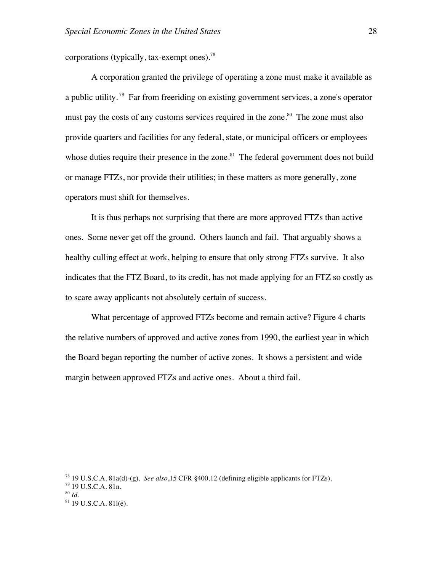corporations (typically, tax-exempt ones).<sup>78</sup>

A corporation granted the privilege of operating a zone must make it available as a public utility.<sup>79</sup> Far from freeriding on existing government services, a zone's operator must pay the costs of any customs services required in the zone.<sup>80</sup> The zone must also provide quarters and facilities for any federal, state, or municipal officers or employees whose duties require their presence in the zone.<sup>81</sup> The federal government does not build or manage FTZs, nor provide their utilities; in these matters as more generally, zone operators must shift for themselves.

It is thus perhaps not surprising that there are more approved FTZs than active ones. Some never get off the ground. Others launch and fail. That arguably shows a healthy culling effect at work, helping to ensure that only strong FTZs survive. It also indicates that the FTZ Board, to its credit, has not made applying for an FTZ so costly as to scare away applicants not absolutely certain of success.

What percentage of approved FTZs become and remain active? Figure 4 charts the relative numbers of approved and active zones from 1990, the earliest year in which the Board began reporting the number of active zones. It shows a persistent and wide margin between approved FTZs and active ones. About a third fail.

<sup>78</sup> 19 U.S.C.A. 81a(d)-(g). *See also*,15 CFR §400.12 (defining eligible applicants for FTZs). 79 19 U.S.C.A. 81n.

<sup>80</sup> *Id.*

<sup>81</sup> 19 U.S.C.A. 81l(e).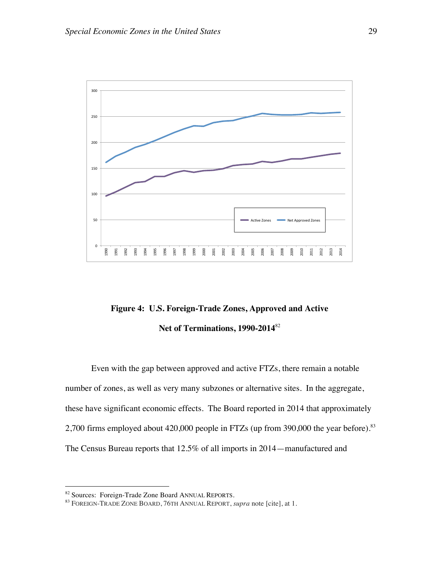

**Figure 4: U.S. Foreign-Trade Zones, Approved and Active Net of Terminations, 1990-2014**<sup>82</sup>

Even with the gap between approved and active FTZs, there remain a notable number of zones, as well as very many subzones or alternative sites. In the aggregate, these have significant economic effects. The Board reported in 2014 that approximately 2,700 firms employed about 420,000 people in FTZs (up from 390,000 the year before).<sup>83</sup> The Census Bureau reports that 12.5% of all imports in 2014—manufactured and

<sup>82</sup> Sources: Foreign-Trade Zone Board ANNUAL REPORTS.

<sup>83</sup> FOREIGN-TRADE ZONE BOARD, 76TH ANNUAL REPORT, *supra* note [cite], at 1.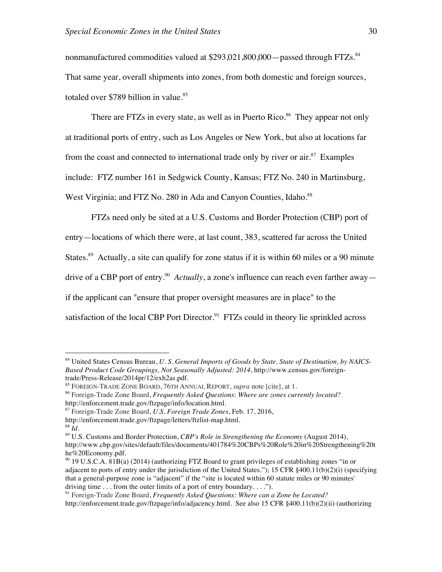nonmanufactured commodities valued at \$293,021,800,000 - passed through FTZs.<sup>84</sup> That same year, overall shipments into zones, from both domestic and foreign sources, totaled over \$789 billion in value. $85$ 

There are FTZs in every state, as well as in Puerto Rico.<sup>86</sup> They appear not only at traditional ports of entry, such as Los Angeles or New York, but also at locations far from the coast and connected to international trade only by river or air. $87$  Examples include: FTZ number 161 in Sedgwick County, Kansas; FTZ No. 240 in Martinsburg, West Virginia; and FTZ No. 280 in Ada and Canyon Counties, Idaho.<sup>88</sup>

FTZs need only be sited at a U.S. Customs and Border Protection (CBP) port of entry—locations of which there were, at last count, 383, scattered far across the United States.<sup>89</sup> Actually, a site can qualify for zone status if it is within 60 miles or a 90 minute drive of a CBP port of entry.<sup>90</sup> *Actually*, a zone's influence can reach even farther away if the applicant can "ensure that proper oversight measures are in place" to the satisfaction of the local CBP Port Director.<sup>91</sup> FTZs could in theory lie sprinkled across

 <sup>84</sup> United States Census Bureau, *U. S. General Imports of Goods by State, State of Destination, by NAICS-Based Product Code Groupings, Not Seasonally Adjusted: 2014*, http://www.census.gov/foreigntrade/Press-Release/2014pr/12/exh2as.pdf.

<sup>85</sup> FOREIGN-TRADE ZONE BOARD, 76TH ANNUAL REPORT, *supra* note [cite], at 1.

<sup>86</sup> Foreign-Trade Zone Board, *Frequently Asked Questions*: *Where are zones currently located?*  http://enforcement.trade.gov/ftzpage/info/location.html.

<sup>87</sup> Foreign-Trade Zone Board, *U.S. Foreign Trade Zones*, Feb. 17, 2016,

http://enforcement.trade.gov/ftzpage/letters/ftzlist-map.html.

<sup>88</sup> *Id.*

<sup>89</sup> U.S. Customs and Border Protection, *CBP's Role in Strengthening the Economy* (August 2014), http://www.cbp.gov/sites/default/files/documents/401784%20CBPs%20Role%20in%20Strengthening%20t he%20Economy.pdf.

 $90$  19 U.S.C.A. 81B(a) (2014) (authorizing FTZ Board to grant privileges of establishing zones "in or adjacent to ports of entry under the jurisdiction of the United States."); 15 CFR §400.11(b)(2)(i) (specifying that a general-purpose zone is "adjacent" if the "site is located within 60 statute miles or 90 minutes' driving time . . . from the outer limits of a port of entry boundary. . . .").

<sup>91</sup> Foreign-Trade Zone Board, *Frequently Asked Questions: Where can a Zone be Located?*  http://enforcement.trade.gov/ftzpage/info/adjacency.html. See also 15 CFR §400.11(b)(2)(ii) (authorizing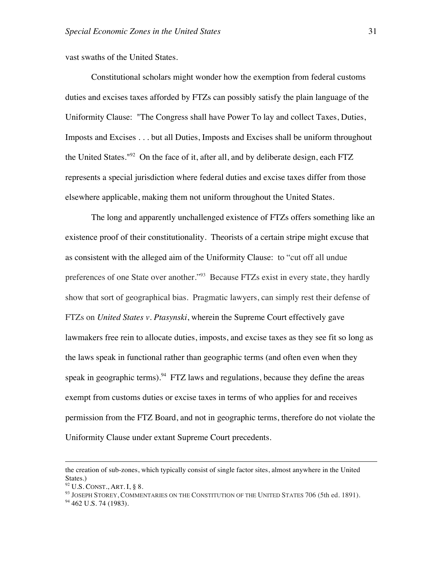vast swaths of the United States.

Constitutional scholars might wonder how the exemption from federal customs duties and excises taxes afforded by FTZs can possibly satisfy the plain language of the Uniformity Clause: "The Congress shall have Power To lay and collect Taxes, Duties, Imposts and Excises . . . but all Duties, Imposts and Excises shall be uniform throughout the United States."92 On the face of it, after all, and by deliberate design, each FTZ represents a special jurisdiction where federal duties and excise taxes differ from those elsewhere applicable, making them not uniform throughout the United States.

The long and apparently unchallenged existence of FTZs offers something like an existence proof of their constitutionality. Theorists of a certain stripe might excuse that as consistent with the alleged aim of the Uniformity Clause: to "cut off all undue preferences of one State over another."<sup>93</sup> Because FTZs exist in every state, they hardly show that sort of geographical bias. Pragmatic lawyers, can simply rest their defense of FTZs on *United States v. Ptasynski*, wherein the Supreme Court effectively gave lawmakers free rein to allocate duties, imposts, and excise taxes as they see fit so long as the laws speak in functional rather than geographic terms (and often even when they speak in geographic terms). $94$  FTZ laws and regulations, because they define the areas exempt from customs duties or excise taxes in terms of who applies for and receives permission from the FTZ Board, and not in geographic terms, therefore do not violate the Uniformity Clause under extant Supreme Court precedents.

 $\overline{a}$ 

the creation of sub-zones, which typically consist of single factor sites, almost anywhere in the United States.)

<sup>92</sup> U.S. CONST., ART. I, § 8.

<sup>93</sup> JOSEPH STOREY, COMMENTARIES ON THE CONSTITUTION OF THE UNITED STATES 706 (5th ed. 1891).

 $94$  462 U.S. 74 (1983).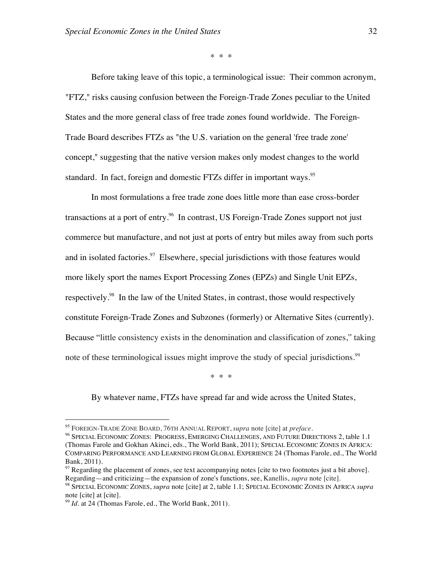\* \* \*

Before taking leave of this topic, a terminological issue: Their common acronym, "FTZ," risks causing confusion between the Foreign-Trade Zones peculiar to the United States and the more general class of free trade zones found worldwide. The Foreign-Trade Board describes FTZs as "the U.S. variation on the general 'free trade zone' concept," suggesting that the native version makes only modest changes to the world standard. In fact, foreign and domestic FTZs differ in important ways.<sup>95</sup>

In most formulations a free trade zone does little more than ease cross-border transactions at a port of entry.<sup>96</sup> In contrast, US Foreign-Trade Zones support not just commerce but manufacture, and not just at ports of entry but miles away from such ports and in isolated factories.<sup>97</sup> Elsewhere, special jurisdictions with those features would more likely sport the names Export Processing Zones (EPZs) and Single Unit EPZs, respectively.<sup>98</sup> In the law of the United States, in contrast, those would respectively constitute Foreign-Trade Zones and Subzones (formerly) or Alternative Sites (currently). Because "little consistency exists in the denomination and classification of zones," taking note of these terminological issues might improve the study of special jurisdictions.<sup>99</sup>

\* \* \*

By whatever name, FTZs have spread far and wide across the United States,

 <sup>95</sup> FOREIGN-TRADE ZONE BOARD, 76TH ANNUAL REPORT, *supra* note [cite] at *preface*.

<sup>96</sup> SPECIAL ECONOMIC ZONES: PROGRESS, EMERGING CHALLENGES, AND FUTURE DIRECTIONS 2, table 1.1 (Thomas Farole and Gokhan Akinci, eds., The World Bank, 2011); SPECIAL ECONOMIC ZONES IN AFRICA: COMPARING PERFORMANCE AND LEARNING FROM GLOBAL EXPERIENCE 24 (Thomas Farole, ed., The World Bank, 2011).

 $97$  Regarding the placement of zones, see text accompanying notes [cite to two footnotes just a bit above]. Regarding—and criticizing—the expansion of zone's functions, see, Kanellis, *supra* note [cite].

<sup>98</sup> SPECIAL ECONOMIC ZONES, *supra* note [cite] at 2, table 1.1; SPECIAL ECONOMIC ZONES IN AFRICA *supra* note [cite] at [cite].

<sup>&</sup>lt;sup>99</sup> *Id.* at 24 (Thomas Farole, ed., The World Bank, 2011).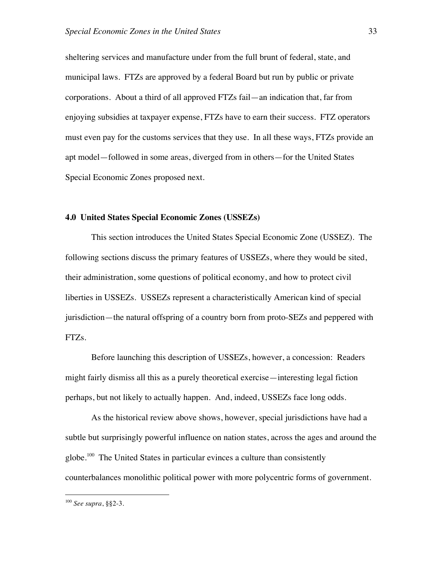sheltering services and manufacture under from the full brunt of federal, state, and municipal laws. FTZs are approved by a federal Board but run by public or private corporations. About a third of all approved FTZs fail—an indication that, far from enjoying subsidies at taxpayer expense, FTZs have to earn their success. FTZ operators must even pay for the customs services that they use. In all these ways, FTZs provide an apt model—followed in some areas, diverged from in others—for the United States Special Economic Zones proposed next.

#### **4.0 United States Special Economic Zones (USSEZs)**

This section introduces the United States Special Economic Zone (USSEZ). The following sections discuss the primary features of USSEZs, where they would be sited, their administration, some questions of political economy, and how to protect civil liberties in USSEZs. USSEZs represent a characteristically American kind of special jurisdiction—the natural offspring of a country born from proto-SEZs and peppered with FTZs.

Before launching this description of USSEZs, however, a concession: Readers might fairly dismiss all this as a purely theoretical exercise—interesting legal fiction perhaps, but not likely to actually happen. And, indeed, USSEZs face long odds.

As the historical review above shows, however, special jurisdictions have had a subtle but surprisingly powerful influence on nation states, across the ages and around the globe.<sup>100</sup> The United States in particular evinces a culture than consistently counterbalances monolithic political power with more polycentric forms of government.

 <sup>100</sup> *See supra*, §§2-3.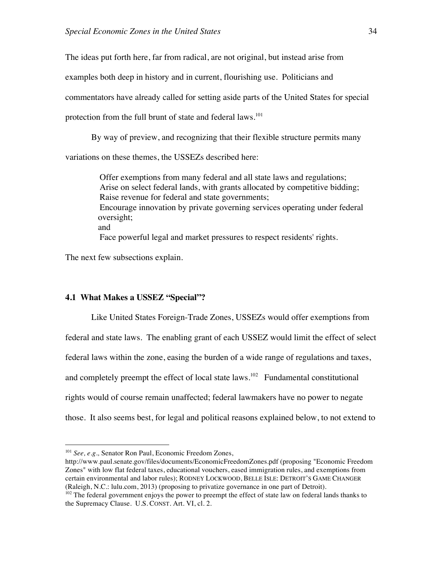The ideas put forth here, far from radical, are not original, but instead arise from

examples both deep in history and in current, flourishing use. Politicians and

commentators have already called for setting aside parts of the United States for special

protection from the full brunt of state and federal laws.<sup>101</sup>

By way of preview, and recognizing that their flexible structure permits many

variations on these themes, the USSEZs described here:

 Offer exemptions from many federal and all state laws and regulations; Arise on select federal lands, with grants allocated by competitive bidding; Raise revenue for federal and state governments; Encourage innovation by private governing services operating under federal oversight; and Face powerful legal and market pressures to respect residents' rights.

The next few subsections explain.

## **4.1 What Makes a USSEZ "Special"?**

Like United States Foreign-Trade Zones, USSEZs would offer exemptions from federal and state laws. The enabling grant of each USSEZ would limit the effect of select federal laws within the zone, easing the burden of a wide range of regulations and taxes, and completely preempt the effect of local state laws.<sup>102</sup> Fundamental constitutional rights would of course remain unaffected; federal lawmakers have no power to negate those. It also seems best, for legal and political reasons explained below, to not extend to

 <sup>101</sup> *See, e.g.,* Senator Ron Paul, Economic Freedom Zones,

http://www.paul.senate.gov/files/documents/EconomicFreedomZones.pdf (proposing "Economic Freedom Zones" with low flat federal taxes, educational vouchers, eased immigration rules, and exemptions from certain environmental and labor rules); RODNEY LOCKWOOD, BELLE ISLE: DETROIT'S GAME CHANGER (Raleigh, N.C.: lulu.com, 2013) (proposing to privatize governance in one part of Detroit).

<sup>&</sup>lt;sup>102</sup> The federal government enjoys the power to preempt the effect of state law on federal lands thanks to the Supremacy Clause. U.S. CONST. Art. VI, cl. 2.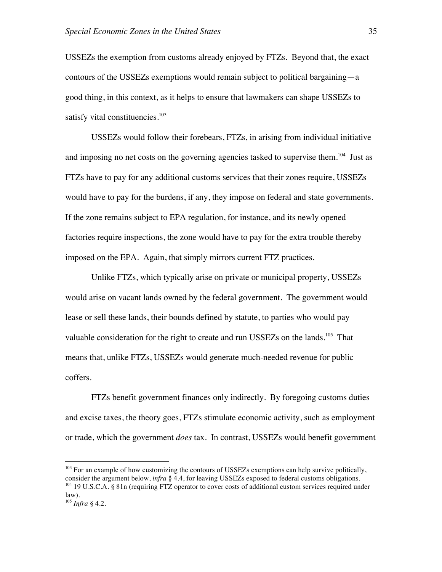USSEZs the exemption from customs already enjoyed by FTZs. Beyond that, the exact contours of the USSEZs exemptions would remain subject to political bargaining—a good thing, in this context, as it helps to ensure that lawmakers can shape USSEZs to satisfy vital constituencies.<sup>103</sup>

USSEZs would follow their forebears, FTZs, in arising from individual initiative and imposing no net costs on the governing agencies tasked to supervise them.<sup>104</sup> Just as FTZs have to pay for any additional customs services that their zones require, USSEZs would have to pay for the burdens, if any, they impose on federal and state governments. If the zone remains subject to EPA regulation, for instance, and its newly opened factories require inspections, the zone would have to pay for the extra trouble thereby imposed on the EPA. Again, that simply mirrors current FTZ practices.

Unlike FTZs, which typically arise on private or municipal property, USSEZs would arise on vacant lands owned by the federal government. The government would lease or sell these lands, their bounds defined by statute, to parties who would pay valuable consideration for the right to create and run USSEZs on the lands.<sup>105</sup> That means that, unlike FTZs, USSEZs would generate much-needed revenue for public coffers.

FTZs benefit government finances only indirectly. By foregoing customs duties and excise taxes, the theory goes, FTZs stimulate economic activity, such as employment or trade, which the government *does* tax. In contrast, USSEZs would benefit government

<sup>&</sup>lt;sup>103</sup> For an example of how customizing the contours of USSEZs exemptions can help survive politically, consider the argument below, *infra* § 4.4, for leaving USSEZs exposed to federal customs obligations.  $104$  19 U.S.C.A. § 81n (requiring FTZ operator to cover costs of additional custom services required under

law).

<sup>105</sup> *Infra* § 4.2.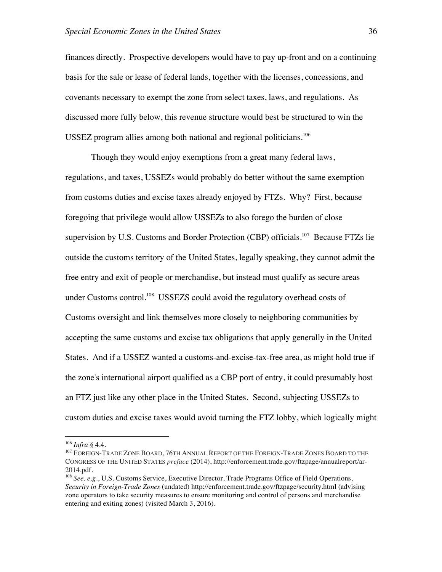finances directly. Prospective developers would have to pay up-front and on a continuing basis for the sale or lease of federal lands, together with the licenses, concessions, and covenants necessary to exempt the zone from select taxes, laws, and regulations. As discussed more fully below, this revenue structure would best be structured to win the USSEZ program allies among both national and regional politicians.<sup>106</sup>

Though they would enjoy exemptions from a great many federal laws, regulations, and taxes, USSEZs would probably do better without the same exemption from customs duties and excise taxes already enjoyed by FTZs. Why? First, because foregoing that privilege would allow USSEZs to also forego the burden of close supervision by U.S. Customs and Border Protection (CBP) officials.<sup>107</sup> Because FTZs lie outside the customs territory of the United States, legally speaking, they cannot admit the free entry and exit of people or merchandise, but instead must qualify as secure areas under Customs control.<sup>108</sup> USSEZS could avoid the regulatory overhead costs of Customs oversight and link themselves more closely to neighboring communities by accepting the same customs and excise tax obligations that apply generally in the United States. And if a USSEZ wanted a customs-and-excise-tax-free area, as might hold true if the zone's international airport qualified as a CBP port of entry, it could presumably host an FTZ just like any other place in the United States. Second, subjecting USSEZs to custom duties and excise taxes would avoid turning the FTZ lobby, which logically might

 <sup>106</sup> *Infra* § 4.4.

<sup>107</sup> FOREIGN-TRADE ZONE BOARD, 76TH ANNUAL REPORT OF THE FOREIGN-TRADE ZONES BOARD TO THE CONGRESS OF THE UNITED STATES *preface* (2014), http://enforcement.trade.gov/ftzpage/annualreport/ar-2014.pdf.

<sup>&</sup>lt;sup>108</sup> See, e.g., U.S. Customs Service, Executive Director, Trade Programs Office of Field Operations, *Security in Foreign-Trade Zones* (undated) http://enforcement.trade.gov/ftzpage/security.html (advising zone operators to take security measures to ensure monitoring and control of persons and merchandise entering and exiting zones) (visited March 3, 2016).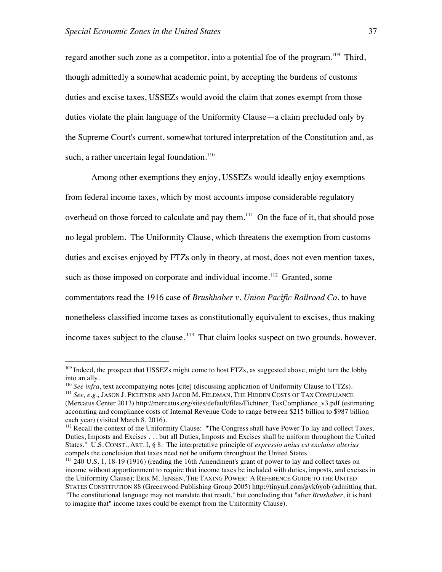regard another such zone as a competitor, into a potential foe of the program.<sup>109</sup> Third, though admittedly a somewhat academic point, by accepting the burdens of customs duties and excise taxes, USSEZs would avoid the claim that zones exempt from those duties violate the plain language of the Uniformity Clause—a claim precluded only by the Supreme Court's current, somewhat tortured interpretation of the Constitution and, as such, a rather uncertain legal foundation.<sup>110</sup>

Among other exemptions they enjoy, USSEZs would ideally enjoy exemptions from federal income taxes, which by most accounts impose considerable regulatory overhead on those forced to calculate and pay them.<sup>111</sup> On the face of it, that should pose no legal problem. The Uniformity Clause, which threatens the exemption from customs duties and excises enjoyed by FTZs only in theory, at most, does not even mention taxes, such as those imposed on corporate and individual income.<sup>112</sup> Granted, some commentators read the 1916 case of *Brushhaber v. Union Pacific Railroad Co.* to have nonetheless classified income taxes as constitutionally equivalent to excises, thus making income taxes subject to the clause.  $113$  That claim looks suspect on two grounds, however.

<sup>&</sup>lt;sup>109</sup> Indeed, the prospect that USSEZs might come to host FTZs, as suggested above, might turn the lobby into an ally.

<sup>110</sup> *See infra*, text accompanying notes [cite] (discussing application of Uniformity Clause to FTZs).

<sup>&</sup>lt;sup>111</sup> See, e.g., JASON J. FICHTNER AND JACOB M. FELDMAN, THE HIDDEN COSTS OF TAX COMPLIANCE (Mercatus Center 2013) http://mercatus.org/sites/default/files/Fichtner\_TaxCompliance\_v3.pdf (estimating accounting and compliance costs of Internal Revenue Code to range between \$215 billion to \$987 billion each year) (visited March 8, 2016).

<sup>&</sup>lt;sup>112</sup> Recall the context of the Uniformity Clause: "The Congress shall have Power To lay and collect Taxes, Duties, Imposts and Excises . . . but all Duties, Imposts and Excises shall be uniform throughout the United States." U.S. CONST., ART. I, § 8. The interpretative principle of *expressio unius est excluiso alterius* compels the conclusion that taxes need not be uniform throughout the United States.

<sup>113</sup> 240 U.S. 1, 18-19 (1916) (reading the 16th Amendment's grant of power to lay and collect taxes on income without apportionment to require that income taxes be included with duties, imposts, and excises in the Uniformity Clause); ERIK M. JENSEN, THE TAXING POWER: A REFERENCE GUIDE TO THE UNITED STATES CONSTITUTION 88 (Greenwood Publishing Group 2005) http://tinyurl.com/gvk6yob (admitting that,

<sup>&</sup>quot;The constitutional language may not mandate that result," but concluding that "after *Brushaber*, it is hard to imagine that" income taxes could be exempt from the Uniformity Clause).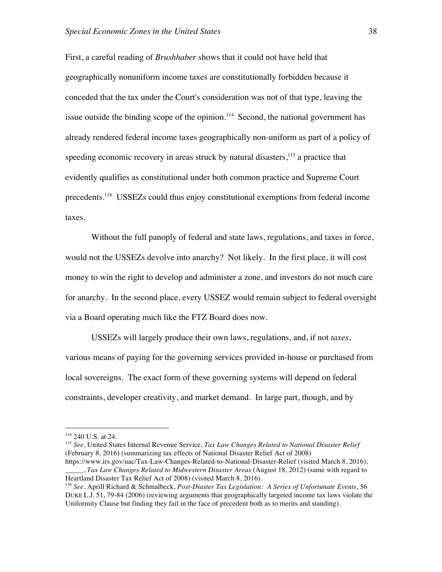First, a careful reading of *Brushhaber* shows that it could not have held that geographically nonuniform income taxes are constitutionally forbidden because it conceded that the tax under the Court's consideration was not of that type, leaving the issue outside the binding scope of the opinion.<sup>114</sup> Second, the national government has already rendered federal income taxes geographically non-uniform as part of a policy of speeding economic recovery in areas struck by natural disasters,<sup>115</sup> a practice that evidently qualifies as constitutional under both common practice and Supreme Court precedents.<sup>116</sup> USSEZs could thus enjoy constitutional exemptions from federal income taxes.

Without the full panoply of federal and state laws, regulations, and taxes in force, would not the USSEZs devolve into anarchy? Not likely. In the first place, it will cost money to win the right to develop and administer a zone, and investors do not much care for anarchy. In the second place, every USSEZ would remain subject to federal oversight via a Board operating much like the FTZ Board does now.

USSEZs will largely produce their own laws, regulations, and, if not *taxes*, various means of paying for the governing services provided in-house or purchased from local sovereigns. The exact form of these governing systems will depend on federal constraints, developer creativity, and market demand. In large part, though, and by

<sup>&</sup>lt;sup>114</sup> 240 U.S. at 24.

<sup>115</sup> *See*, United States Internal Revenue Service, *Tax Law Changes Related to National Disaster Relief* (February 8, 2016) (summarizing tax effects of National Disaster Relief Act of 2008) https://www.irs.gov/uac/Tax-Law-Changes-Related-to-National-Disaster-Relief (visited March 8, 2016);

\_\_\_\_\_, *Tax Law Changes Related to Midwestern Disaster Areas* (August 18, 2012) (same with regard to Heartland Disaster Tax Relief Act of 2008) (visited March 8, 2016).

<sup>116</sup> *See*, Aprill Richard & Schmalbeck, *Post-Diaster Tax Legislation: A Series of Unfortunate Events*, 56 DUKE L.J. 51, 79-84 (2006) (reviewing arguments that geographically targeted income tax laws violate the Uniformity Clause but finding they fail in the face of precedent both as to merits and standing).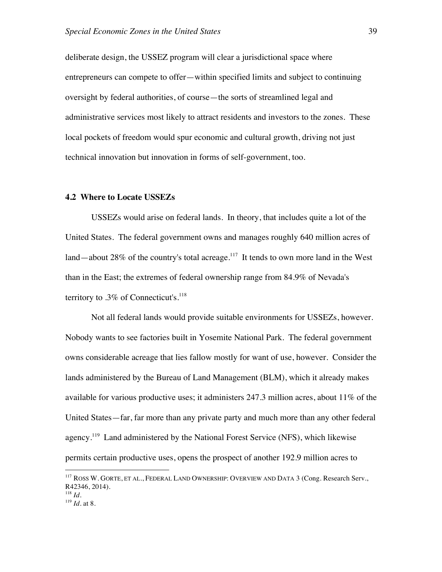deliberate design, the USSEZ program will clear a jurisdictional space where entrepreneurs can compete to offer—within specified limits and subject to continuing oversight by federal authorities, of course—the sorts of streamlined legal and administrative services most likely to attract residents and investors to the zones. These local pockets of freedom would spur economic and cultural growth, driving not just technical innovation but innovation in forms of self-government, too.

### **4.2 Where to Locate USSEZs**

USSEZs would arise on federal lands. In theory, that includes quite a lot of the United States. The federal government owns and manages roughly 640 million acres of land—about 28% of the country's total acreage.<sup>117</sup> It tends to own more land in the West than in the East; the extremes of federal ownership range from 84.9% of Nevada's territory to .3% of Connecticut's.<sup>118</sup>

Not all federal lands would provide suitable environments for USSEZs, however. Nobody wants to see factories built in Yosemite National Park. The federal government owns considerable acreage that lies fallow mostly for want of use, however. Consider the lands administered by the Bureau of Land Management (BLM), which it already makes available for various productive uses; it administers 247.3 million acres, about 11% of the United States—far, far more than any private party and much more than any other federal agency.<sup>119</sup> Land administered by the National Forest Service (NFS), which likewise permits certain productive uses, opens the prospect of another 192.9 million acres to

 <sup>117</sup> ROSS W. GORTE, ET AL., FEDERAL LAND OWNERSHIP: OVERVIEW AND DATA 3 (Cong. Research Serv., R42346, 2014).

<sup>118</sup> *Id.*

<sup>119</sup> *Id.* at 8.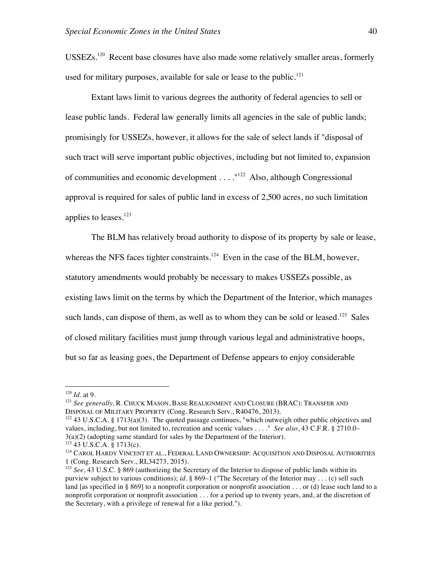USSEZs.120 Recent base closures have also made some relatively smaller areas, formerly used for military purposes, available for sale or lease to the public.<sup>121</sup>

Extant laws limit to various degrees the authority of federal agencies to sell or lease public lands. Federal law generally limits all agencies in the sale of public lands; promisingly for USSEZs, however, it allows for the sale of select lands if "disposal of such tract will serve important public objectives, including but not limited to, expansion of communities and economic development . . . . "<sup>122</sup> Also, although Congressional approval is required for sales of public land in excess of 2,500 acres, no such limitation applies to leases.123

The BLM has relatively broad authority to dispose of its property by sale or lease, whereas the NFS faces tighter constraints.<sup>124</sup> Even in the case of the BLM, however, statutory amendments would probably be necessary to makes USSEZs possible, as existing laws limit on the terms by which the Department of the Interior, which manages such lands, can dispose of them, as well as to whom they can be sold or leased.<sup>125</sup> Sales of closed military facilities must jump through various legal and administrative hoops, but so far as leasing goes, the Department of Defense appears to enjoy considerable

 <sup>120</sup> *Id.* at 9.

<sup>121</sup> *See generally,* R. CHUCK MASON, BASE REALIGNMENT AND CLOSURE (BRAC): TRANSFER AND DISPOSAL OF MILITARY PROPERTY (Cong. Research Serv., R40476, 2013).

<sup>&</sup>lt;sup>122</sup> 43 U.S.C.A. § 1713(a)(3). The quoted passage continues, "which outweigh other public objectives and values, including, but not limited to, recreation and scenic values . . . ." *See also*, 43 C.F.R. § 2710.0–  $3(a)(2)$  (adopting same standard for sales by the Department of the Interior).

 $123$  43 U.S.C.A. § 1713(c).

<sup>&</sup>lt;sup>124</sup> CAROL HARDY VINCENT ET AL., FEDERAL LAND OWNERSHIP: ACQUISITION AND DISPOSAL AUTHORITIES 1 (Cong. Research Serv., RL34273, 2015).

<sup>125</sup> *See*, 43 U.S.C. § 869 (authorizing the Secretary of the Interior to dispose of public lands within its purview subject to various conditions); *id.* § 869–1 ("The Secretary of the Interior may . . . (c) sell such land [as specified in § 869] to a nonprofit corporation or nonprofit association . . . or (d) lease such land to a nonprofit corporation or nonprofit association . . . for a period up to twenty years, and, at the discretion of the Secretary, with a privilege of renewal for a like period.").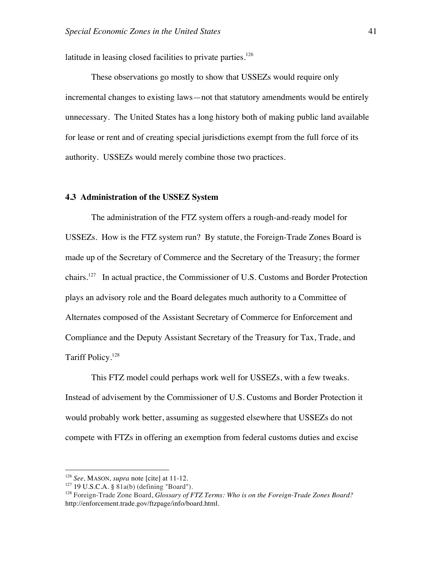latitude in leasing closed facilities to private parties.<sup>126</sup>

These observations go mostly to show that USSEZs would require only incremental changes to existing laws—not that statutory amendments would be entirely unnecessary. The United States has a long history both of making public land available for lease or rent and of creating special jurisdictions exempt from the full force of its authority. USSEZs would merely combine those two practices.

### **4.3 Administration of the USSEZ System**

The administration of the FTZ system offers a rough-and-ready model for USSEZs. How is the FTZ system run? By statute, the Foreign-Trade Zones Board is made up of the Secretary of Commerce and the Secretary of the Treasury; the former chairs.<sup>127</sup> In actual practice, the Commissioner of U.S. Customs and Border Protection plays an advisory role and the Board delegates much authority to a Committee of Alternates composed of the Assistant Secretary of Commerce for Enforcement and Compliance and the Deputy Assistant Secretary of the Treasury for Tax, Trade, and Tariff Policy.128

This FTZ model could perhaps work well for USSEZs, with a few tweaks. Instead of advisement by the Commissioner of U.S. Customs and Border Protection it would probably work better, assuming as suggested elsewhere that USSEZs do not compete with FTZs in offering an exemption from federal customs duties and excise

 <sup>126</sup> *See,* MASON*, supra* note [cite] at 11-12.

<sup>127</sup> 19 U.S.C.A. § 81a(b) (defining "Board").

<sup>128</sup> Foreign-Trade Zone Board, *Glossary of FTZ Terms: Who is on the Foreign-Trade Zones Board?*  http://enforcement.trade.gov/ftzpage/info/board.html.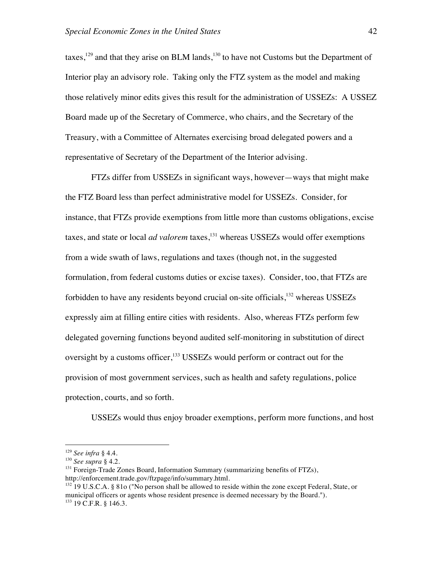taxes,<sup>129</sup> and that they arise on BLM lands,<sup>130</sup> to have not Customs but the Department of Interior play an advisory role. Taking only the FTZ system as the model and making those relatively minor edits gives this result for the administration of USSEZs: A USSEZ Board made up of the Secretary of Commerce, who chairs, and the Secretary of the Treasury, with a Committee of Alternates exercising broad delegated powers and a representative of Secretary of the Department of the Interior advising.

FTZs differ from USSEZs in significant ways, however—ways that might make the FTZ Board less than perfect administrative model for USSEZs. Consider, for instance, that FTZs provide exemptions from little more than customs obligations, excise taxes, and state or local *ad valorem* taxes,<sup>131</sup> whereas USSEZs would offer exemptions from a wide swath of laws, regulations and taxes (though not, in the suggested formulation, from federal customs duties or excise taxes). Consider, too, that FTZs are forbidden to have any residents beyond crucial on-site officials,<sup>132</sup> whereas USSEZs expressly aim at filling entire cities with residents. Also, whereas FTZs perform few delegated governing functions beyond audited self-monitoring in substitution of direct oversight by a customs officer,<sup>133</sup> USSEZs would perform or contract out for the provision of most government services, such as health and safety regulations, police protection, courts, and so forth.

USSEZs would thus enjoy broader exemptions, perform more functions, and host

 <sup>129</sup> *See infra* § 4.4.

<sup>130</sup> *See supra* § 4.2.

<sup>&</sup>lt;sup>131</sup> Foreign-Trade Zones Board, Information Summary (summarizing benefits of FTZs), http://enforcement.trade.gov/ftzpage/info/summary.html.

<sup>&</sup>lt;sup>132</sup> 19 U.S.C.A. § 81o ("No person shall be allowed to reside within the zone except Federal, State, or municipal officers or agents whose resident presence is deemed necessary by the Board."). <sup>133</sup> 19 C.F.R. § 146.3.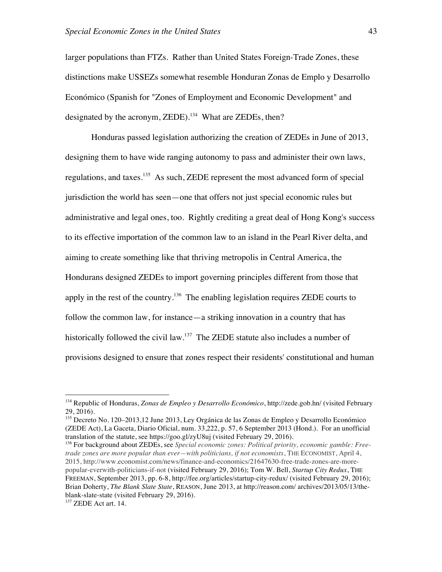larger populations than FTZs. Rather than United States Foreign-Trade Zones, these distinctions make USSEZs somewhat resemble Honduran Zonas de Emplo y Desarrollo Económico (Spanish for "Zones of Employment and Economic Development" and designated by the acronym, ZEDE).<sup>134</sup> What are ZEDEs, then?

Honduras passed legislation authorizing the creation of ZEDEs in June of 2013, designing them to have wide ranging autonomy to pass and administer their own laws, regulations, and taxes.135 As such, ZEDE represent the most advanced form of special jurisdiction the world has seen—one that offers not just special economic rules but administrative and legal ones, too. Rightly crediting a great deal of Hong Kong's success to its effective importation of the common law to an island in the Pearl River delta, and aiming to create something like that thriving metropolis in Central America, the Hondurans designed ZEDEs to import governing principles different from those that apply in the rest of the country.<sup>136</sup> The enabling legislation requires ZEDE courts to follow the common law, for instance—a striking innovation in a country that has historically followed the civil law.<sup>137</sup> The ZEDE statute also includes a number of provisions designed to ensure that zones respect their residents' constitutional and human

<sup>136</sup> For background about ZEDEs, see *Special economic zones: Political priority, economic gamble: Freetrade zones are more popular than ever—with politicians, if not economists*, THE ECONOMIST, April 4, 2015, http://www.economist.com/news/finance-and-economics/21647630-free-trade-zones-are-morepopular-everwith-politicians-if-not (visited February 29, 2016); Tom W. Bell, *Startup City Redux*, THE FREEMAN, September 2013, pp. 6-8, http://fee.org/articles/startup-city-redux/ (visited February 29, 2016); Brian Doherty, *The Blank Slate State*, REASON, June 2013, at http://reason.com/ archives/2013/05/13/theblank-slate-state (visited February 29, 2016).

 <sup>134</sup> Republic of Honduras, *Zonas de Empleo y Desarrollo Económico*, http://zede.gob.hn/ (visited February 29, 2016).

<sup>&</sup>lt;sup>135</sup> Decreto No. 120-2013,12 June 2013, Ley Orgánica de las Zonas de Empleo y Desarrollo Económico (ZEDE Act), La Gaceta, Diario Oficial, num. 33,222, p. 57, 6 September 2013 (Hond.). For an unofficial translation of the statute, see https://goo.gl/zyU8uj (visited February 29, 2016).

<sup>&</sup>lt;sup>137</sup> ZEDE Act art. 14.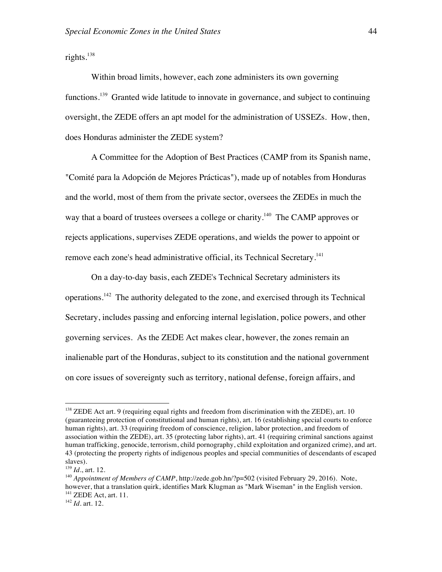rights. 138

Within broad limits, however, each zone administers its own governing functions.<sup>139</sup> Granted wide latitude to innovate in governance, and subject to continuing oversight, the ZEDE offers an apt model for the administration of USSEZs. How, then, does Honduras administer the ZEDE system?

A Committee for the Adoption of Best Practices (CAMP from its Spanish name, "Comité para la Adopción de Mejores Prácticas"), made up of notables from Honduras and the world, most of them from the private sector, oversees the ZEDEs in much the way that a board of trustees oversees a college or charity.<sup>140</sup> The CAMP approves or rejects applications, supervises ZEDE operations, and wields the power to appoint or remove each zone's head administrative official, its Technical Secretary.<sup>141</sup>

On a day-to-day basis, each ZEDE's Technical Secretary administers its operations.142 The authority delegated to the zone, and exercised through its Technical Secretary, includes passing and enforcing internal legislation, police powers, and other governing services. As the ZEDE Act makes clear, however, the zones remain an inalienable part of the Honduras, subject to its constitution and the national government on core issues of sovereignty such as territory, national defense, foreign affairs, and

<sup>&</sup>lt;sup>138</sup> ZEDE Act art. 9 (requiring equal rights and freedom from discrimination with the ZEDE), art. 10 (guaranteeing protection of constitutional and human rights), art. 16 (establishing special courts to enforce human rights), art. 33 (requiring freedom of conscience, religion, labor protection, and freedom of association within the ZEDE), art. 35 (protecting labor rights), art. 41 (requiring criminal sanctions against human trafficking, genocide, terrorism, child pornography, child exploitation and organized crime), and art. 43 (protecting the property rights of indigenous peoples and special communities of descendants of escaped slaves).

<sup>139</sup> *Id.*, art. 12.

<sup>&</sup>lt;sup>140</sup> Appointment of Members of CAMP, http://zede.gob.hn/?p=502 (visited February 29, 2016). Note, however, that a translation quirk, identifies Mark Klugman as "Mark Wiseman" in the English version. <sup>141</sup> ZEDE Act, art. 11.

<sup>142</sup> *Id.* art. 12.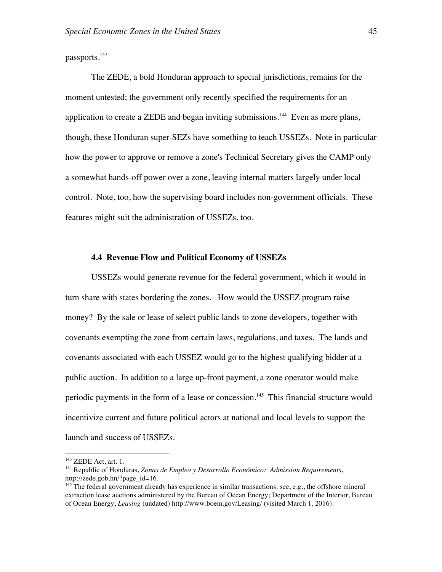passports.<sup>143</sup>

The ZEDE, a bold Honduran approach to special jurisdictions, remains for the moment untested; the government only recently specified the requirements for an application to create a ZEDE and began inviting submissions.<sup>144</sup> Even as mere plans, though, these Honduran super-SEZs have something to teach USSEZs. Note in particular how the power to approve or remove a zone's Technical Secretary gives the CAMP only a somewhat hands-off power over a zone, leaving internal matters largely under local control. Note, too, how the supervising board includes non-government officials. These features might suit the administration of USSEZs, too.

#### **4.4 Revenue Flow and Political Economy of USSEZs**

USSEZs would generate revenue for the federal government, which it would in turn share with states bordering the zones. How would the USSEZ program raise money? By the sale or lease of select public lands to zone developers, together with covenants exempting the zone from certain laws, regulations, and taxes. The lands and covenants associated with each USSEZ would go to the highest qualifying bidder at a public auction. In addition to a large up-front payment, a zone operator would make periodic payments in the form of a lease or concession.<sup>145</sup> This financial structure would incentivize current and future political actors at national and local levels to support the launch and success of USSEZs.

 $143$  ZEDE Act, art. 1.

<sup>144</sup> Republic of Honduras, *Zonas de Empleo y Desarrollo Económico: Admission Requirements*, http://zede.gob.hn/?page\_id=16.

<sup>&</sup>lt;sup>145</sup> The federal government already has experience in similar transactions; see, e.g., the offshore mineral extraction lease auctions administered by the Bureau of Ocean Energy; Department of the Interior, Bureau of Ocean Energy, *Leasing* (undated) http://www.boem.gov/Leasing/ (visited March 1, 2016).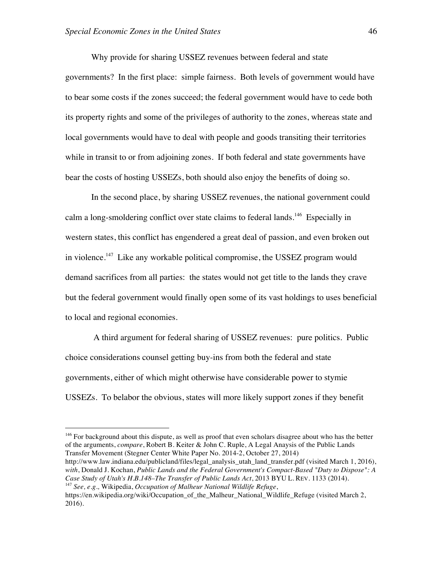Why provide for sharing USSEZ revenues between federal and state

governments? In the first place: simple fairness. Both levels of government would have to bear some costs if the zones succeed; the federal government would have to cede both its property rights and some of the privileges of authority to the zones, whereas state and local governments would have to deal with people and goods transiting their territories while in transit to or from adjoining zones. If both federal and state governments have bear the costs of hosting USSEZs, both should also enjoy the benefits of doing so.

In the second place, by sharing USSEZ revenues, the national government could calm a long-smoldering conflict over state claims to federal lands.<sup>146</sup> Especially in western states, this conflict has engendered a great deal of passion, and even broken out in violence.<sup>147</sup> Like any workable political compromise, the USSEZ program would demand sacrifices from all parties: the states would not get title to the lands they crave but the federal government would finally open some of its vast holdings to uses beneficial to local and regional economies.

A third argument for federal sharing of USSEZ revenues: pure politics. Public choice considerations counsel getting buy-ins from both the federal and state governments, either of which might otherwise have considerable power to stymie USSEZs. To belabor the obvious, states will more likely support zones if they benefit

<sup>146</sup> For background about this dispute, as well as proof that even scholars disagree about who has the better of the arguments, *compare*, Robert B. Keiter & John C. Ruple, A Legal Anaysis of the Public Lands Transfer Movement (Stegner Center White Paper No. 2014-2, October 27, 2014)

http://www.law.indiana.edu/publicland/files/legal\_analysis\_utah\_land\_transfer.pdf (visited March 1, 2016), *with*, Donald J. Kochan, *Public Lands and the Federal Government's Compact-Based "Duty to Dispose": A Case Study of Utah's H.B.148–The Transfer of Public Lands Act*, 2013 BYU L. REV. 1133 (2014). <sup>147</sup> *See, e.g.,* Wikipedia, *Occupation of Malheur National Wildlife Refuge*,

https://en.wikipedia.org/wiki/Occupation of the Malheur National Wildlife Refuge (visited March 2, 2016).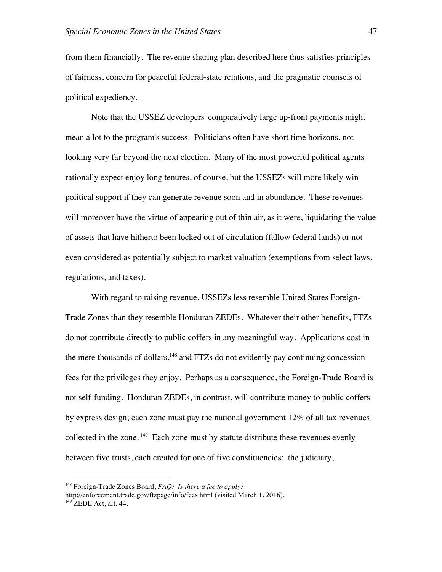from them financially. The revenue sharing plan described here thus satisfies principles of fairness, concern for peaceful federal-state relations, and the pragmatic counsels of political expediency.

Note that the USSEZ developers' comparatively large up-front payments might mean a lot to the program's success. Politicians often have short time horizons, not looking very far beyond the next election. Many of the most powerful political agents rationally expect enjoy long tenures, of course, but the USSEZs will more likely win political support if they can generate revenue soon and in abundance. These revenues will moreover have the virtue of appearing out of thin air, as it were, liquidating the value of assets that have hitherto been locked out of circulation (fallow federal lands) or not even considered as potentially subject to market valuation (exemptions from select laws, regulations, and taxes).

With regard to raising revenue, USSEZs less resemble United States Foreign-Trade Zones than they resemble Honduran ZEDEs. Whatever their other benefits, FTZs do not contribute directly to public coffers in any meaningful way. Applications cost in the mere thousands of dollars,<sup>148</sup> and FTZs do not evidently pay continuing concession fees for the privileges they enjoy. Perhaps as a consequence, the Foreign-Trade Board is not self-funding. Honduran ZEDEs, in contrast, will contribute money to public coffers by express design; each zone must pay the national government 12% of all tax revenues collected in the zone.<sup>149</sup> Each zone must by statute distribute these revenues evenly between five trusts, each created for one of five constituencies: the judiciary,

 <sup>148</sup> Foreign-Trade Zones Board, *FAQ: Is there a fee to apply?*

http://enforcement.trade.gov/ftzpage/info/fees.html (visited March 1, 2016).  $149$  ZEDE Act, art. 44.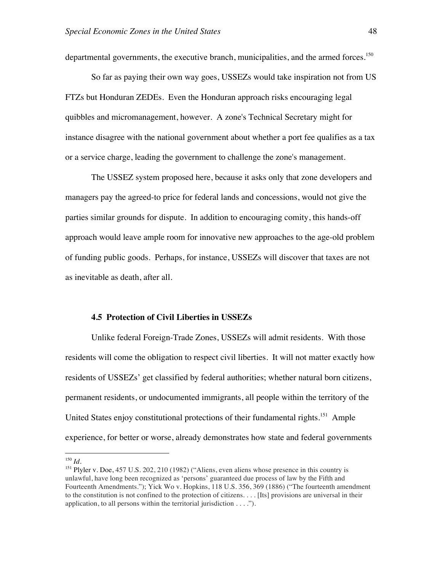departmental governments, the executive branch, municipalities, and the armed forces.<sup>150</sup>

So far as paying their own way goes, USSEZs would take inspiration not from US FTZs but Honduran ZEDEs. Even the Honduran approach risks encouraging legal quibbles and micromanagement, however. A zone's Technical Secretary might for instance disagree with the national government about whether a port fee qualifies as a tax or a service charge, leading the government to challenge the zone's management.

The USSEZ system proposed here, because it asks only that zone developers and managers pay the agreed-to price for federal lands and concessions, would not give the parties similar grounds for dispute. In addition to encouraging comity, this hands-off approach would leave ample room for innovative new approaches to the age-old problem of funding public goods. Perhaps, for instance, USSEZs will discover that taxes are not as inevitable as death, after all.

#### **4.5 Protection of Civil Liberties in USSEZs**

Unlike federal Foreign-Trade Zones, USSEZs will admit residents. With those residents will come the obligation to respect civil liberties. It will not matter exactly how residents of USSEZs' get classified by federal authorities; whether natural born citizens, permanent residents, or undocumented immigrants, all people within the territory of the United States enjoy constitutional protections of their fundamental rights.<sup>151</sup> Ample experience, for better or worse, already demonstrates how state and federal governments

 <sup>150</sup> *Id.*

<sup>&</sup>lt;sup>151</sup> Plyler v. Doe, 457 U.S. 202, 210 (1982) ("Aliens, even aliens whose presence in this country is unlawful, have long been recognized as 'persons' guaranteed due process of law by the Fifth and Fourteenth Amendments."); Yick Wo v. Hopkins, 118 U.S. 356, 369 (1886) ("The fourteenth amendment to the constitution is not confined to the protection of citizens. . . . [Its] provisions are universal in their application, to all persons within the territorial jurisdiction  $\dots$ .").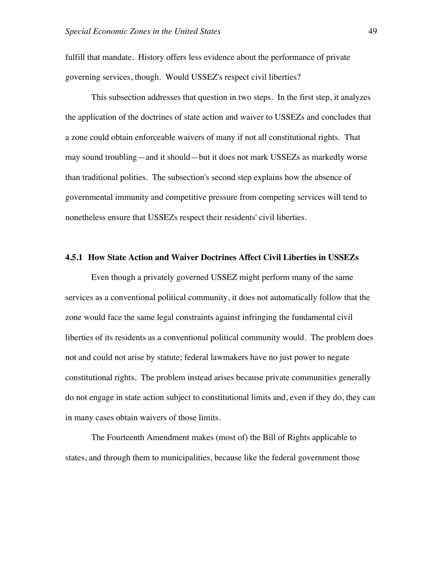fulfill that mandate. History offers less evidence about the performance of private governing services, though. Would USSEZ's respect civil liberties?

This subsection addresses that question in two steps. In the first step, it analyzes the application of the doctrines of state action and waiver to USSEZs and concludes that a zone could obtain enforceable waivers of many if not all constitutional rights. That may sound troubling—and it should—but it does not mark USSEZs as markedly worse than traditional polities. The subsection's second step explains how the absence of governmental immunity and competitive pressure from competing services will tend to nonetheless ensure that USSEZs respect their residents' civil liberties.

#### **4.5.1 How State Action and Waiver Doctrines Affect Civil Liberties in USSEZs**

Even though a privately governed USSEZ might perform many of the same services as a conventional political community, it does not automatically follow that the zone would face the same legal constraints against infringing the fundamental civil liberties of its residents as a conventional political community would. The problem does not and could not arise by statute; federal lawmakers have no just power to negate constitutional rights. The problem instead arises because private communities generally do not engage in state action subject to constitutional limits and, even if they do, they can in many cases obtain waivers of those limits.

The Fourteenth Amendment makes (most of) the Bill of Rights applicable to states, and through them to municipalities, because like the federal government those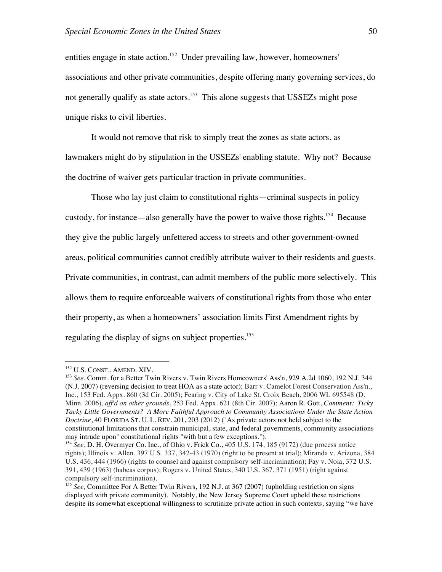entities engage in state action.<sup>152</sup> Under prevailing law, however, homeowners' associations and other private communities, despite offering many governing services, do not generally qualify as state actors.<sup>153</sup> This alone suggests that USSEZs might pose unique risks to civil liberties.

It would not remove that risk to simply treat the zones as state actors, as lawmakers might do by stipulation in the USSEZs' enabling statute. Why not? Because the doctrine of waiver gets particular traction in private communities.

Those who lay just claim to constitutional rights—criminal suspects in policy custody, for instance—also generally have the power to waive those rights.<sup>154</sup> Because they give the public largely unfettered access to streets and other government-owned areas, political communities cannot credibly attribute waiver to their residents and guests. Private communities, in contrast, can admit members of the public more selectively. This allows them to require enforceable waivers of constitutional rights from those who enter their property, as when a homeowners' association limits First Amendment rights by regulating the display of signs on subject properties.<sup>155</sup>

 <sup>152</sup> U.S. CONST., AMEND. XIV.

<sup>153</sup> *See*, Comm. for a Better Twin Rivers v. Twin Rivers Homeowners' Ass'n, 929 A.2d 1060, 192 N.J. 344 (N.J. 2007) (reversing decision to treat HOA as a state actor); Barr v. Camelot Forest Conservation Ass'n., Inc., 153 Fed. Appx. 860 (3d Cir. 2005); Fearing v. City of Lake St. Croix Beach, 2006 WL 695548 (D. Minn. 2006), *aff'd on other grounds*, 253 Fed. Appx. 621 (8th Cir. 2007); Aaron R. Gott, *Comment: Ticky Tacky Little Governments? A More Faithful Approach to Community Associations Under the State Action Doctrine*, 40 FLORIDA ST. U. L. REV. 201, 203 (2012) ("As private actors not held subject to the constitutional limitations that constrain municipal, state, and federal governments, community associations may intrude upon" constitutional rights "with but a few exceptions.").

<sup>154</sup> *See*, D. H. Overmyer Co. Inc., of Ohio v. Frick Co., 405 U.S. 174, 185 (9172) (due process notice rights); Illinois v. Allen, 397 U.S. 337, 342-43 (1970) (right to be present at trial); Miranda v. Arizona, 384 U.S. 436, 444 (1966) (rights to counsel and against compulsory self-incrimination); Fay v. Noia, 372 U.S. 391, 439 (1963) (habeas corpus); Rogers v. United States, 340 U.S. 367, 371 (1951) (right against compulsory self-incrimination).

<sup>155</sup> *See,* Committee For A Better Twin Rivers, 192 N.J. at 367 (2007) (upholding restriction on signs displayed with private community). Notably, the New Jersey Supreme Court upheld these restrictions despite its somewhat exceptional willingness to scrutinize private action in such contexts, saying "we have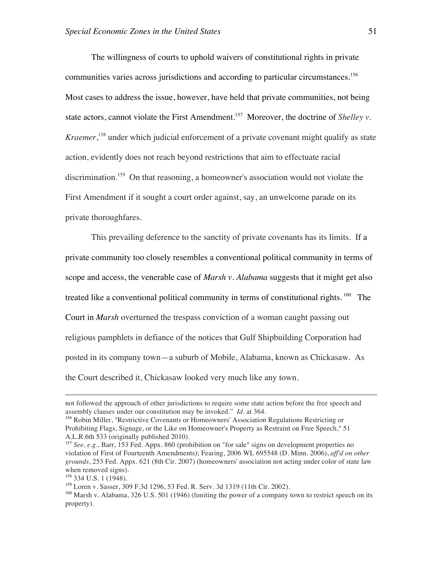The willingness of courts to uphold waivers of constitutional rights in private communities varies across jurisdictions and according to particular circumstances.<sup>156</sup> Most cases to address the issue, however, have held that private communities, not being state actors, cannot violate the First Amendment.<sup>157</sup> Moreover, the doctrine of *Shelley v. Kraemer*, <sup>158</sup> under which judicial enforcement of a private covenant might qualify as state action, evidently does not reach beyond restrictions that aim to effectuate racial discrimination. 159 On that reasoning, a homeowner's association would not violate the First Amendment if it sought a court order against, say, an unwelcome parade on its private thoroughfares.

This prevailing deference to the sanctity of private covenants has its limits. If a private community too closely resembles a conventional political community in terms of scope and access, the venerable case of *Marsh v. Alabama* suggests that it might get also treated like a conventional political community in terms of constitutional rights.  $160$  The Court in *Marsh* overturned the trespass conviction of a woman caught passing out religious pamphlets in defiance of the notices that Gulf Shipbuilding Corporation had posted in its company town—a suburb of Mobile, Alabama, known as Chickasaw. As the Court described it, Chickasaw looked very much like any town.

 $\overline{a}$ 

<sup>159</sup> Loren v. Sasser, 309 F.3d 1296, 53 Fed. R. Serv. 3d 1319 (11th Cir. 2002).

not followed the approach of other jurisdictions to require some state action before the free speech and assembly clauses under our constitution may be invoked." *Id*. at 364.

<sup>&</sup>lt;sup>156</sup> Robin Miller, "Restrictive Covenants or Homeowners' Association Regulations Restricting or Prohibiting Flags, Signage, or the Like on Homeowner's Property as Restraint on Free Speech," 51 A.L.R.6th 533 (originally published 2010).

<sup>157</sup> *See, e.g.,* Barr, 153 Fed. Appx. 860 (prohibition on "for sale" signs on development properties no violation of First of Fourteenth Amendments); Fearing, 2006 WL 695548 (D. Minn. 2006), *aff'd on other grounds*, 253 Fed. Appx. 621 (8th Cir. 2007) (homeowners' association not acting under color of state law when removed signs).

<sup>&</sup>lt;sup>158</sup> 334 U.S. 1 (1948).

<sup>&</sup>lt;sup>160</sup> Marsh v. Alabama, 326 U.S. 501 (1946) (limiting the power of a company town to restrict speech on its property).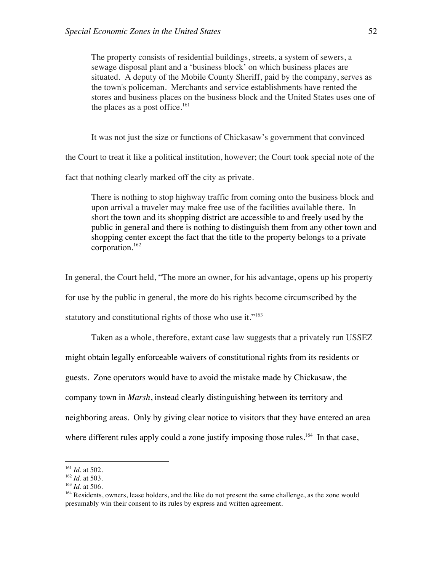The property consists of residential buildings, streets, a system of sewers, a sewage disposal plant and a 'business block' on which business places are situated. A deputy of the Mobile County Sheriff, paid by the company, serves as the town's policeman. Merchants and service establishments have rented the stores and business places on the business block and the United States uses one of the places as a post office.<sup>161</sup>

It was not just the size or functions of Chickasaw's government that convinced

the Court to treat it like a political institution, however; the Court took special note of the

fact that nothing clearly marked off the city as private.

There is nothing to stop highway traffic from coming onto the business block and upon arrival a traveler may make free use of the facilities available there. In short the town and its shopping district are accessible to and freely used by the public in general and there is nothing to distinguish them from any other town and shopping center except the fact that the title to the property belongs to a private corporation.<sup>162</sup>

In general, the Court held, "The more an owner, for his advantage, opens up his property for use by the public in general, the more do his rights become circumscribed by the statutory and constitutional rights of those who use it."<sup>163</sup>

Taken as a whole, therefore, extant case law suggests that a privately run USSEZ might obtain legally enforceable waivers of constitutional rights from its residents or guests. Zone operators would have to avoid the mistake made by Chickasaw, the company town in *Marsh*, instead clearly distinguishing between its territory and neighboring areas. Only by giving clear notice to visitors that they have entered an area where different rules apply could a zone justify imposing those rules.<sup>164</sup> In that case,

 <sup>161</sup> *Id.* at 502.

<sup>162</sup> *Id.* at 503.

<sup>163</sup> *Id.* at 506.

<sup>&</sup>lt;sup>164</sup> Residents, owners, lease holders, and the like do not present the same challenge, as the zone would presumably win their consent to its rules by express and written agreement.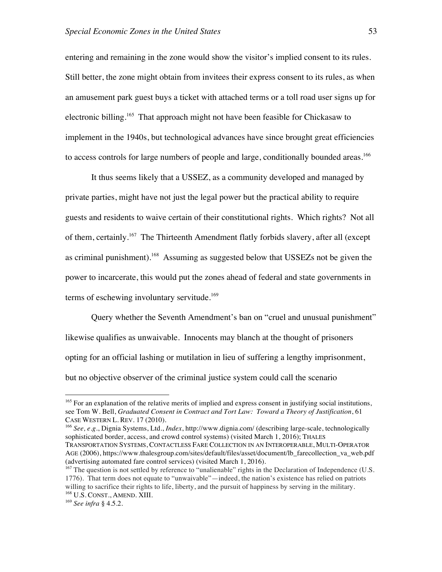entering and remaining in the zone would show the visitor's implied consent to its rules. Still better, the zone might obtain from invitees their express consent to its rules, as when an amusement park guest buys a ticket with attached terms or a toll road user signs up for electronic billing.165 That approach might not have been feasible for Chickasaw to implement in the 1940s, but technological advances have since brought great efficiencies to access controls for large numbers of people and large, conditionally bounded areas.<sup>166</sup>

It thus seems likely that a USSEZ, as a community developed and managed by private parties, might have not just the legal power but the practical ability to require guests and residents to waive certain of their constitutional rights. Which rights? Not all of them, certainly.<sup>167</sup> The Thirteenth Amendment flatly forbids slavery, after all (except as criminal punishment).168 Assuming as suggested below that USSEZs not be given the power to incarcerate, this would put the zones ahead of federal and state governments in terms of eschewing involuntary servitude.<sup>169</sup>

Query whether the Seventh Amendment's ban on "cruel and unusual punishment" likewise qualifies as unwaivable. Innocents may blanch at the thought of prisoners opting for an official lashing or mutilation in lieu of suffering a lengthy imprisonment, but no objective observer of the criminal justice system could call the scenario

<sup>&</sup>lt;sup>165</sup> For an explanation of the relative merits of implied and express consent in justifying social institutions, see Tom W. Bell, *Graduated Consent in Contract and Tort Law: Toward a Theory of Justification*, 61 CASE WESTERN L. REV. 17 (2010).

<sup>166</sup> *See, e.g.*, Dignia Systems, Ltd., *Index*, http://www.dignia.com/ (describing large-scale, technologically sophisticated border, access, and crowd control systems) (visited March 1, 2016); THALES

TRANSPORTATION SYSTEMS, CONTACTLESS FARE COLLECTION IN AN INTEROPERABLE, MULTI-OPERATOR AGE (2006), https://www.thalesgroup.com/sites/default/files/asset/document/lb\_farecollection\_va\_web.pdf (advertising automated fare control services) (visited March 1, 2016).

<sup>&</sup>lt;sup>167</sup> The question is not settled by reference to "unalienable" rights in the Declaration of Independence (U.S. 1776). That term does not equate to "unwaivable"—indeed, the nation's existence has relied on patriots willing to sacrifice their rights to life, liberty, and the pursuit of happiness by serving in the military. <sup>168</sup> U.S. CONST., AMEND. XIII.

<sup>169</sup> *See infra* § 4.5.2.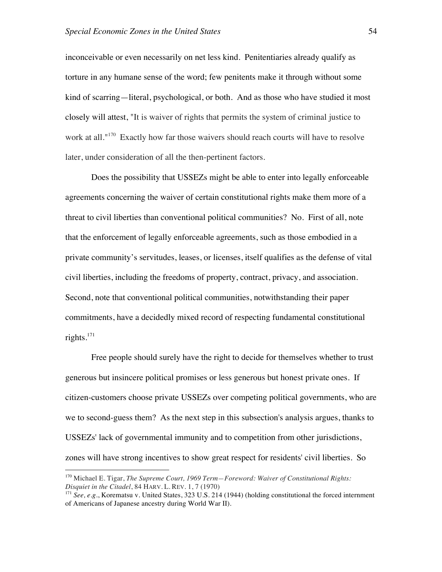inconceivable or even necessarily on net less kind. Penitentiaries already qualify as torture in any humane sense of the word; few penitents make it through without some kind of scarring—literal, psychological, or both. And as those who have studied it most closely will attest, "It is waiver of rights that permits the system of criminal justice to work at all."170 Exactly how far those waivers should reach courts will have to resolve later, under consideration of all the then-pertinent factors.

Does the possibility that USSEZs might be able to enter into legally enforceable agreements concerning the waiver of certain constitutional rights make them more of a threat to civil liberties than conventional political communities? No. First of all, note that the enforcement of legally enforceable agreements, such as those embodied in a private community's servitudes, leases, or licenses, itself qualifies as the defense of vital civil liberties, including the freedoms of property, contract, privacy, and association. Second, note that conventional political communities, notwithstanding their paper commitments, have a decidedly mixed record of respecting fundamental constitutional rights. $^{171}$ 

Free people should surely have the right to decide for themselves whether to trust generous but insincere political promises or less generous but honest private ones. If citizen-customers choose private USSEZs over competing political governments, who are we to second-guess them? As the next step in this subsection's analysis argues, thanks to USSEZs' lack of governmental immunity and to competition from other jurisdictions, zones will have strong incentives to show great respect for residents' civil liberties. So

 <sup>170</sup> Michael E. Tigar, *The Supreme Court, 1969 Term—Foreword: Waiver of Constitutional Rights: Disquiet in the Citadel*, 84 HARV. L. REV. 1, 7 (1970)

<sup>171</sup> *See, e.g.*, Korematsu v. United States, 323 U.S. 214 (1944) (holding constitutional the forced internment of Americans of Japanese ancestry during World War II).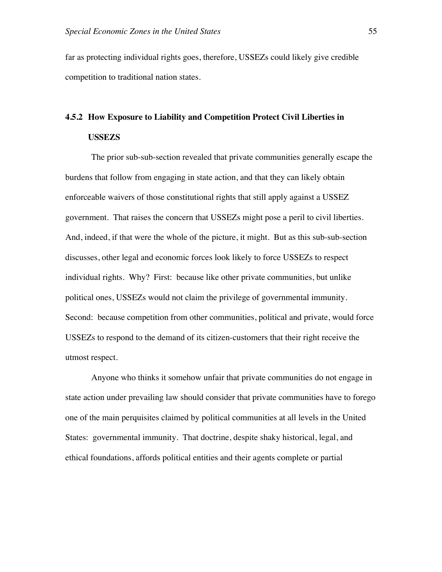far as protecting individual rights goes, therefore, USSEZs could likely give credible competition to traditional nation states.

# **4.5.2 How Exposure to Liability and Competition Protect Civil Liberties in USSEZS**

The prior sub-sub-section revealed that private communities generally escape the burdens that follow from engaging in state action, and that they can likely obtain enforceable waivers of those constitutional rights that still apply against a USSEZ government. That raises the concern that USSEZs might pose a peril to civil liberties. And, indeed, if that were the whole of the picture, it might. But as this sub-sub-section discusses, other legal and economic forces look likely to force USSEZs to respect individual rights. Why? First: because like other private communities, but unlike political ones, USSEZs would not claim the privilege of governmental immunity. Second: because competition from other communities, political and private, would force USSEZs to respond to the demand of its citizen-customers that their right receive the utmost respect.

Anyone who thinks it somehow unfair that private communities do not engage in state action under prevailing law should consider that private communities have to forego one of the main perquisites claimed by political communities at all levels in the United States: governmental immunity. That doctrine, despite shaky historical, legal, and ethical foundations, affords political entities and their agents complete or partial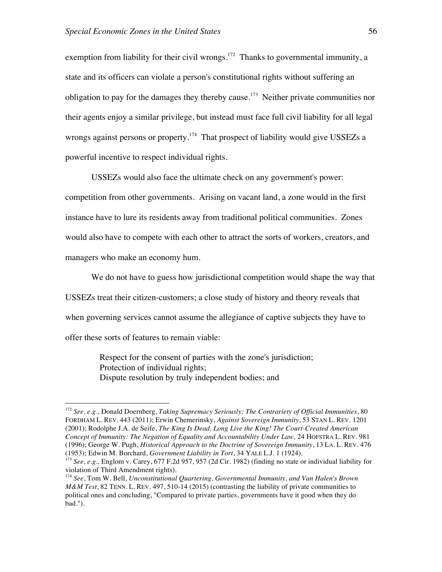exemption from liability for their civil wrongs.<sup>172</sup> Thanks to governmental immunity, a state and its officers can violate a person's constitutional rights without suffering an obligation to pay for the damages they thereby cause.<sup>173</sup> Neither private communities nor their agents enjoy a similar privilege, but instead must face full civil liability for all legal wrongs against persons or property.<sup>174</sup> That prospect of liability would give USSEZs a powerful incentive to respect individual rights.

USSEZs would also face the ultimate check on any government's power: competition from other governments. Arising on vacant land, a zone would in the first instance have to lure its residents away from traditional political communities. Zones would also have to compete with each other to attract the sorts of workers, creators, and managers who make an economy hum.

We do not have to guess how jurisdictional competition would shape the way that USSEZs treat their citizen-customers; a close study of history and theory reveals that when governing services cannot assume the allegiance of captive subjects they have to offer these sorts of features to remain viable:

> Respect for the consent of parties with the zone's jurisdiction; Protection of individual rights; Dispute resolution by truly independent bodies; and

 <sup>172</sup> *See, e.g.,* Donald Doernberg, *Taking Supremacy Seriously: The Contrariety of Official Immunities*, 80 FORDHAM L. REV. 443 (2011); Erwin Chemerinsky, *Against Sovereign Immunity*, 53 STAN L. REV. 1201 (2001); Rodolphe J.A. de Seife, *The King Is Dead, Long Live the King! The Court-Created American Concept of Immunity: The Negation of Equality and Accountability Under Law,* 24 HOFSTRA L. REV. 981 (1996); George W. Pugh, *Historical Approach to the Doctrine of Sovereign Immunity*, 13 LA. L. REV. 476 (1953); Edwin M. Borchard, *Government Liability in Tort*, 34 YALE L.J. 1 (1924).

<sup>173</sup> *See, e.g.,* Englom v. Carey, 677 F.2d 957, 957 (2d Cir. 1982) (finding no state or individual liability for violation of Third Amendment rights).

<sup>174</sup> *See*, Tom W. Bell, *Unconstitutional Quartering, Governmental Immunity, and Van Halen's Brown M&M Test*, 82 TENN. L. REV. 497, 510-14 (2015) (contrasting the liability of private communities to political ones and concluding, "Compared to private parties, governments have it good when they do bad.").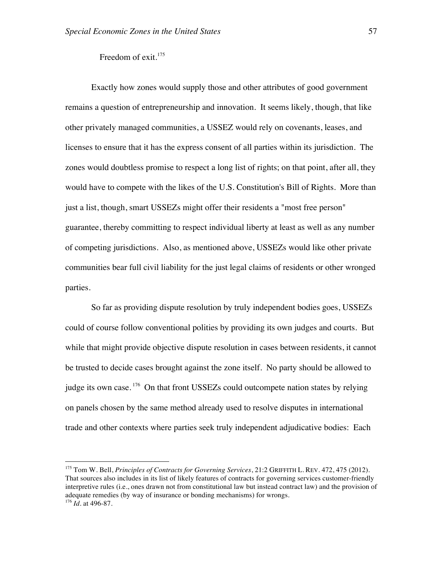# Freedom of exit.<sup>175</sup>

Exactly how zones would supply those and other attributes of good government remains a question of entrepreneurship and innovation. It seems likely, though, that like other privately managed communities, a USSEZ would rely on covenants, leases, and licenses to ensure that it has the express consent of all parties within its jurisdiction. The zones would doubtless promise to respect a long list of rights; on that point, after all, they would have to compete with the likes of the U.S. Constitution's Bill of Rights. More than just a list, though, smart USSEZs might offer their residents a "most free person" guarantee, thereby committing to respect individual liberty at least as well as any number of competing jurisdictions. Also, as mentioned above, USSEZs would like other private communities bear full civil liability for the just legal claims of residents or other wronged parties.

So far as providing dispute resolution by truly independent bodies goes, USSEZs could of course follow conventional polities by providing its own judges and courts. But while that might provide objective dispute resolution in cases between residents, it cannot be trusted to decide cases brought against the zone itself. No party should be allowed to judge its own case.<sup>176</sup> On that front USSEZs could outcompete nation states by relying on panels chosen by the same method already used to resolve disputes in international trade and other contexts where parties seek truly independent adjudicative bodies: Each

 <sup>175</sup> Tom W. Bell, *Principles of Contracts for Governing Services*, 21:2 GRIFFITH L. REV. 472, 475 (2012). That sources also includes in its list of likely features of contracts for governing services customer-friendly interpretive rules (i.e., ones drawn not from constitutional law but instead contract law) and the provision of adequate remedies (by way of insurance or bonding mechanisms) for wrongs. <sup>176</sup> *Id*. at 496-87.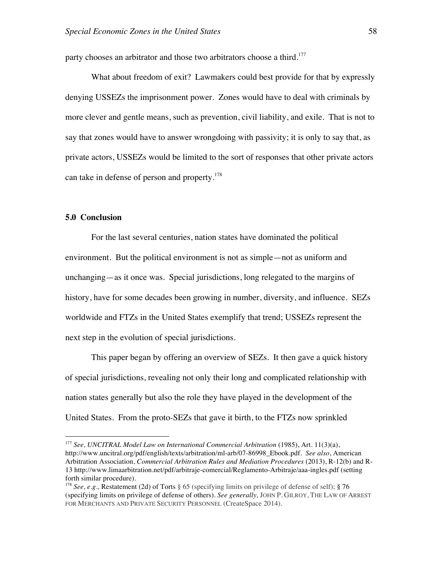party chooses an arbitrator and those two arbitrators choose a third.<sup>177</sup>

What about freedom of exit? Lawmakers could best provide for that by expressly denying USSEZs the imprisonment power. Zones would have to deal with criminals by more clever and gentle means, such as prevention, civil liability, and exile. That is not to say that zones would have to answer wrongdoing with passivity; it is only to say that, as private actors, USSEZs would be limited to the sort of responses that other private actors can take in defense of person and property.<sup>178</sup>

#### **5.0 Conclusion**

For the last several centuries, nation states have dominated the political environment. But the political environment is not as simple—not as uniform and unchanging—as it once was. Special jurisdictions, long relegated to the margins of history, have for some decades been growing in number, diversity, and influence. SEZs worldwide and FTZs in the United States exemplify that trend; USSEZs represent the next step in the evolution of special jurisdictions.

This paper began by offering an overview of SEZs. It then gave a quick history of special jurisdictions, revealing not only their long and complicated relationship with nation states generally but also the role they have played in the development of the United States. From the proto-SEZs that gave it birth, to the FTZs now sprinkled

 <sup>177</sup> *See, UNCITRAL Model Law on International Commercial Arbitration* (1985), Art. 11(3)(a), http://www.uncitral.org/pdf/english/texts/arbitration/ml-arb/07-86998\_Ebook.pdf. *See also*, American Arbitration Association, *Commercial Arbitration Rules and Mediation Procedures* (2013), R-12(b) and R-13 http://www.limaarbitration.net/pdf/arbitraje-comercial/Reglamento-Arbitraje/aaa-ingles.pdf (setting forth similar procedure).

<sup>178</sup> *See, e.g.,* Restatement (2d) of Torts § 65 (specifying limits on privilege of defense of self); § 76 (specifying limits on privilege of defense of others). *See generally,* JOHN P. GILROY, THE LAW OF ARREST FOR MERCHANTS AND PRIVATE SECURITY PERSONNEL (CreateSpace 2014).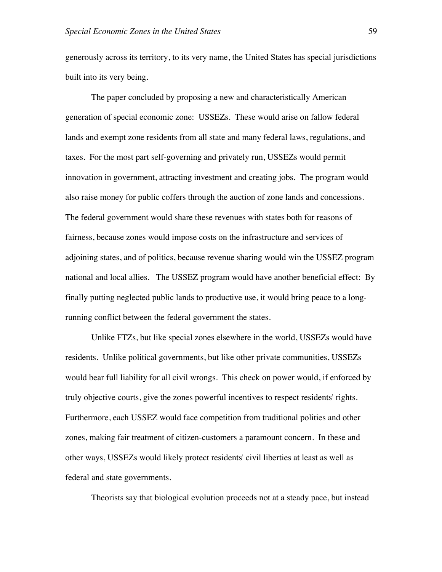generously across its territory, to its very name, the United States has special jurisdictions built into its very being.

The paper concluded by proposing a new and characteristically American generation of special economic zone: USSEZs. These would arise on fallow federal lands and exempt zone residents from all state and many federal laws, regulations, and taxes. For the most part self-governing and privately run, USSEZs would permit innovation in government, attracting investment and creating jobs. The program would also raise money for public coffers through the auction of zone lands and concessions. The federal government would share these revenues with states both for reasons of fairness, because zones would impose costs on the infrastructure and services of adjoining states, and of politics, because revenue sharing would win the USSEZ program national and local allies. The USSEZ program would have another beneficial effect: By finally putting neglected public lands to productive use, it would bring peace to a longrunning conflict between the federal government the states.

Unlike FTZs, but like special zones elsewhere in the world, USSEZs would have residents. Unlike political governments, but like other private communities, USSEZs would bear full liability for all civil wrongs. This check on power would, if enforced by truly objective courts, give the zones powerful incentives to respect residents' rights. Furthermore, each USSEZ would face competition from traditional polities and other zones, making fair treatment of citizen-customers a paramount concern. In these and other ways, USSEZs would likely protect residents' civil liberties at least as well as federal and state governments.

Theorists say that biological evolution proceeds not at a steady pace, but instead